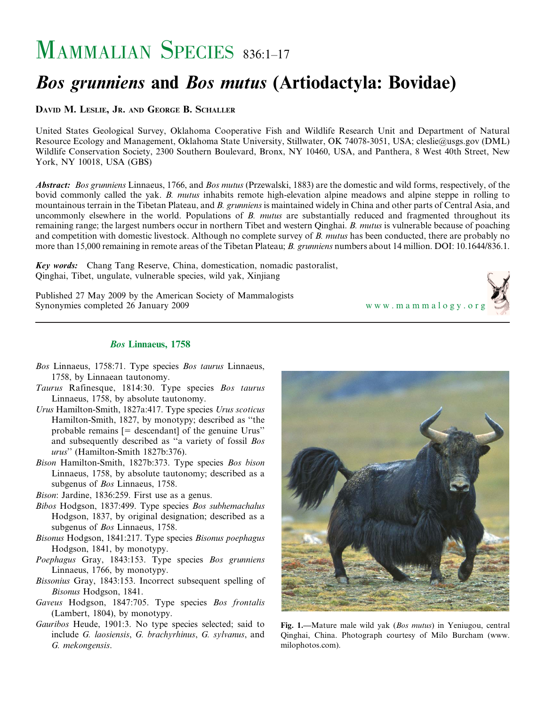# MAMMALIAN SPECIES 836:1-17

# Bos grunniens and Bos mutus (Artiodactyla: Bovidae)

DAVID M. LESLIE, JR. AND GEORGE B. SCHALLER

United States Geological Survey, Oklahoma Cooperative Fish and Wildlife Research Unit and Department of Natural Resource Ecology and Management, Oklahoma State University, Stillwater, OK 74078-3051, USA; cleslie@usgs.gov (DML) Wildlife Conservation Society, 2300 Southern Boulevard, Bronx, NY 10460, USA, and Panthera, 8 West 40th Street, New York, NY 10018, USA (GBS)

Abstract: Bos grunniens Linnaeus, 1766, and Bos mutus (Przewalski, 1883) are the domestic and wild forms, respectively, of the bovid commonly called the yak. B. mutus inhabits remote high-elevation alpine meadows and alpine steppe in rolling to mountainous terrain in the Tibetan Plateau, and B. grunniens is maintained widely in China and other parts of Central Asia, and uncommonly elsewhere in the world. Populations of B. mutus are substantially reduced and fragmented throughout its remaining range; the largest numbers occur in northern Tibet and western Qinghai. B. mutus is vulnerable because of poaching and competition with domestic livestock. Although no complete survey of B. mutus has been conducted, there are probably no more than 15,000 remaining in remote areas of the Tibetan Plateau; B. grunniens numbers about 14 million. DOI: 10.1644/836.1.

Key words: Chang Tang Reserve, China, domestication, nomadic pastoralist, Qinghai, Tibet, ungulate, vulnerable species, wild yak, Xinjiang

Published 27 May 2009 by the American Society of Mammalogists Synonymies completed 26 January 2009 <www.mammalogy.org>



# Bos Linnaeus, 1758

- Bos Linnaeus, 1758:71. Type species Bos taurus Linnaeus, 1758, by Linnaean tautonomy.
- Taurus Rafinesque, 1814:30. Type species Bos taurus Linnaeus, 1758, by absolute tautonomy.
- Urus Hamilton-Smith, 1827a:417. Type species Urus scoticus Hamilton-Smith, 1827, by monotypy; described as ''the probable remains  $[=$  descendant] of the genuine Urus" and subsequently described as ''a variety of fossil Bos urus'' (Hamilton-Smith 1827b:376).
- Bison Hamilton-Smith, 1827b:373. Type species Bos bison Linnaeus, 1758, by absolute tautonomy; described as a subgenus of Bos Linnaeus, 1758.
- Bison: Jardine, 1836:259. First use as a genus.
- Bibos Hodgson, 1837:499. Type species Bos subhemachalus Hodgson, 1837, by original designation; described as a subgenus of Bos Linnaeus, 1758.
- Bisonus Hodgson, 1841:217. Type species Bisonus poephagus Hodgson, 1841, by monotypy.
- Poephagus Gray, 1843:153. Type species Bos grunniens Linnaeus, 1766, by monotypy.
- Bissonius Gray, 1843:153. Incorrect subsequent spelling of Bisonus Hodgson, 1841.
- Gaveus Hodgson, 1847:705. Type species Bos frontalis (Lambert, 1804), by monotypy.
- Gauribos Heude, 1901:3. No type species selected; said to include G. laosiensis, G. brachyrhinus, G. sylvanus, and G. mekongensis.



Fig. 1.—Mature male wild yak (Bos mutus) in Yeniugou, central Qinghai, China. Photograph courtesy of Milo Burcham (www. milophotos.com).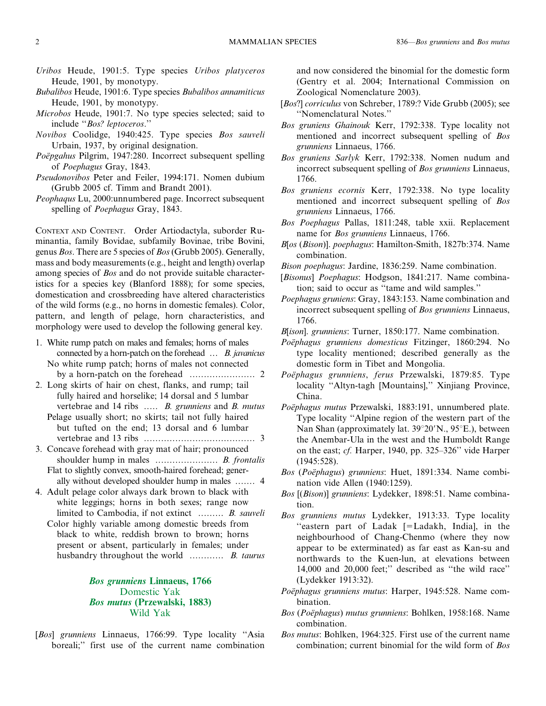- Uribos Heude, 1901:5. Type species Uribos platyceros Heude, 1901, by monotypy.
- Bubalibos Heude, 1901:6. Type species Bubalibos annamiticus Heude, 1901, by monotypy.
- Microbos Heude, 1901:7. No type species selected; said to include ''Bos? leptoceros.''
- Novibos Coolidge, 1940:425. Type species Bos sauveli Urbain, 1937, by original designation.
- Poëpgahus Pilgrim, 1947:280. Incorrect subsequent spelling of Poephagus Gray, 1843.
- Pseudonovibos Peter and Feiler, 1994:171. Nomen dubium (Grubb 2005 cf. Timm and Brandt 2001).
- Peophaqus Lu, 2000:unnumbered page. Incorrect subsequent spelling of Poephagus Gray, 1843.

CONTEXT AND CONTENT. Order Artiodactyla, suborder Ruminantia, family Bovidae, subfamily Bovinae, tribe Bovini, genus Bos. There are 5 species of Bos (Grubb 2005). Generally, mass and body measurements (e.g., height and length) overlap among species of Bos and do not provide suitable characteristics for a species key (Blanford 1888); for some species, domestication and crossbreeding have altered characteristics of the wild forms (e.g., no horns in domestic females). Color, pattern, and length of pelage, horn characteristics, and morphology were used to develop the following general key.

- 1. White rump patch on males and females; horns of males connected by a horn-patch on the forehead ... B. javanicus No white rump patch; horns of males not connected by a horn-patch on the forehead ....................... 2
- 2. Long skirts of hair on chest, flanks, and rump; tail fully haired and horselike; 14 dorsal and 5 lumbar vertebrae and 14 ribs ..... B. grunniens and B. mutus Pelage usually short; no skirts; tail not fully haired but tufted on the end; 13 dorsal and 6 lumbar vertebrae and 13 ribs ....................................... 3
- 3. Concave forehead with gray mat of hair; pronounced shoulder hump in males ...................... B. frontalis Flat to slightly convex, smooth-haired forehead; generally without developed shoulder hump in males ....... 4
- 4. Adult pelage color always dark brown to black with white leggings; horns in both sexes; range now limited to Cambodia, if not extinct ......... B. sauveli
	- Color highly variable among domestic breeds from black to white, reddish brown to brown; horns present or absent, particularly in females; under husbandry throughout the world ............... B. taurus

# Bos grunniens Linnaeus, 1766 Domestic Yak Bos mutus (Przewalski, 1883) Wild Yak

[Bos] grunniens Linnaeus, 1766:99. Type locality "Asia boreali;'' first use of the current name combination and now considered the binomial for the domestic form (Gentry et al. 2004; International Commission on Zoological Nomenclature 2003).

- [Bos?] corriculus von Schreber, 1789:? Vide Grubb (2005); see ''Nomenclatural Notes.''
- Bos gruniens Ghainouk Kerr, 1792:338. Type locality not mentioned and incorrect subsequent spelling of Bos grunniens Linnaeus, 1766.
- Bos gruniens Sarlyk Kerr, 1792:338. Nomen nudum and incorrect subsequent spelling of Bos grunniens Linnaeus, 1766.
- Bos gruniens ecornis Kerr, 1792:338. No type locality mentioned and incorrect subsequent spelling of Bos grunniens Linnaeus, 1766.
- Bos Poephagus Pallas, 1811:248, table xxii. Replacement name for Bos grunniens Linnaeus, 1766.
- B[os (Bison)]. poephagus: Hamilton-Smith, 1827b:374. Name combination.
- Bison poephagus: Jardine, 1836:259. Name combination.
- [Bisonus] Poephagus: Hodgson, 1841:217. Name combination; said to occur as ''tame and wild samples.''
- Poephagus gruniens: Gray, 1843:153. Name combination and incorrect subsequent spelling of Bos grunniens Linnaeus, 1766.
- B[ison]. grunniens: Turner, 1850:177. Name combination.
- Poëphagus grunniens domesticus Fitzinger, 1860:294. No type locality mentioned; described generally as the domestic form in Tibet and Mongolia.
- Poëphagus grunniens, ferus Przewalski, 1879:85. Type locality ''Altyn-tagh [Mountains],'' Xinjiang Province, China.
- Poëphagus mutus Przewalski, 1883:191, unnumbered plate. Type locality ''Alpine region of the western part of the Nan Shan (approximately lat.  $39^{\circ}20'$ N.,  $95^{\circ}$ E.), between the Anembar-Ula in the west and the Humboldt Range on the east; cf. Harper, 1940, pp. 325–326'' vide Harper (1945:528).
- Bos (Poëphagus) grunniens: Huet, 1891:334. Name combination vide Allen (1940:1259).
- Bos [(Bison)] grunniens: Lydekker, 1898:51. Name combination.
- Bos grunniens mutus Lydekker, 1913:33. Type locality "eastern part of Ladak [=Ladakh, India], in the neighbourhood of Chang-Chenmo (where they now appear to be exterminated) as far east as Kan-su and northwards to the Kuen-lun, at elevations between 14,000 and 20,000 feet;'' described as ''the wild race'' (Lydekker 1913:32).
- Poëphagus grunniens mutus: Harper, 1945:528. Name combination.
- Bos (Poëphagus) mutus grunniens: Bohlken, 1958:168. Name combination.
- Bos mutus: Bohlken, 1964:325. First use of the current name combination; current binomial for the wild form of Bos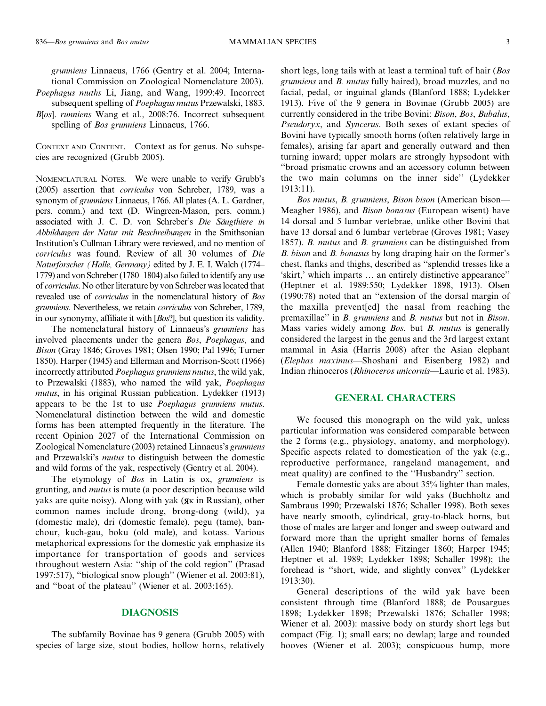grunniens Linnaeus, 1766 (Gentry et al. 2004; International Commission on Zoological Nomenclature 2003).

Poephagus muths Li, Jiang, and Wang, 1999:49. Incorrect subsequent spelling of Poephagus mutus Przewalski, 1883.

B[os]. runniens Wang et al., 2008:76. Incorrect subsequent spelling of *Bos grunniens* Linnaeus, 1766.

CONTEXT AND CONTENT. Context as for genus. No subspecies are recognized (Grubb 2005).

NOMENCLATURAL NOTES. We were unable to verify Grubb's (2005) assertion that corriculus von Schreber, 1789, was a synonym of grunniens Linnaeus, 1766. All plates (A. L. Gardner, pers. comm.) and text (D. Wingreen-Mason, pers. comm.) associated with J. C. D. von Schreber's Die Säugthiere in Abbildungen der Natur mit Beschreibungen in the Smithsonian Institution's Cullman Library were reviewed, and no mention of corriculus was found. Review of all 30 volumes of Die Naturforscher (Halle, Germany) edited by J. E. I. Walch (1774– 1779) and von Schreber (1780–1804) also failed to identify any use of corriculus. No other literature by von Schreber was located that revealed use of corriculus in the nomenclatural history of Bos grunniens. Nevertheless, we retain corriculus von Schreber, 1789, in our synonymy, affiliate it with [Bos?], but question its validity.

The nomenclatural history of Linnaeus's grunniens has involved placements under the genera Bos, Poephagus, and Bison (Gray 1846; Groves 1981; Olsen 1990; Pal 1996; Turner 1850). Harper (1945) and Ellerman and Morrison-Scott (1966) incorrectly attributed Poephagus grunniens mutus, the wild yak, to Przewalski (1883), who named the wild yak, Poephagus mutus, in his original Russian publication. Lydekker (1913) appears to be the 1st to use Poephagus grunniens mutus. Nomenclatural distinction between the wild and domestic forms has been attempted frequently in the literature. The recent Opinion 2027 of the International Commission on Zoological Nomenclature (2003) retained Linnaeus's grunniens and Przewalski's mutus to distinguish between the domestic and wild forms of the yak, respectively (Gentry et al. 2004).

The etymology of Bos in Latin is ox, grunniens is grunting, and mutus is mute (a poor description because wild yaks are quite noisy). Along with yak ( $x$  in Russian), other common names include drong, brong-dong (wild), ya (domestic male), dri (domestic female), pegu (tame), banchour, kuch-gau, boku (old male), and kotass. Various metaphorical expressions for the domestic yak emphasize its importance for transportation of goods and services throughout western Asia: ''ship of the cold region'' (Prasad 1997:517), ''biological snow plough'' (Wiener et al. 2003:81), and ''boat of the plateau'' (Wiener et al. 2003:165).

## DIAGNOSIS

The subfamily Bovinae has 9 genera (Grubb 2005) with species of large size, stout bodies, hollow horns, relatively short legs, long tails with at least a terminal tuft of hair (Bos grunniens and B. mutus fully haired), broad muzzles, and no facial, pedal, or inguinal glands (Blanford 1888; Lydekker 1913). Five of the 9 genera in Bovinae (Grubb 2005) are currently considered in the tribe Bovini: Bison, Bos, Bubalus, Pseudoryx, and Syncerus. Both sexes of extant species of Bovini have typically smooth horns (often relatively large in females), arising far apart and generally outward and then turning inward; upper molars are strongly hypsodont with ''broad prismatic crowns and an accessory column between the two main columns on the inner side'' (Lydekker 1913:11).

Bos mutus, B. grunniens, Bison bison (American bison— Meagher 1986), and Bison bonasus (European wisent) have 14 dorsal and 5 lumbar vertebrae, unlike other Bovini that have 13 dorsal and 6 lumbar vertebrae (Groves 1981; Vasey 1857). B. mutus and B. grunniens can be distinguished from B. bison and B. bonasus by long draping hair on the former's chest, flanks and thighs, described as ''splendid tresses like a 'skirt,' which imparts … an entirely distinctive appearance'' (Heptner et al. 1989:550; Lydekker 1898, 1913). Olsen (1990:78) noted that an ''extension of the dorsal margin of the maxilla prevent[ed] the nasal from reaching the premaxillae" in B. grunniens and B. mutus but not in Bison. Mass varies widely among *Bos*, but *B. mutus* is generally considered the largest in the genus and the 3rd largest extant mammal in Asia (Harris 2008) after the Asian elephant (Elephas maximus—Shoshani and Eisenberg 1982) and Indian rhinoceros (Rhinoceros unicornis—Laurie et al. 1983).

# GENERAL CHARACTERS

We focused this monograph on the wild yak, unless particular information was considered comparable between the 2 forms (e.g., physiology, anatomy, and morphology). Specific aspects related to domestication of the yak (e.g., reproductive performance, rangeland management, and meat quality) are confined to the ''Husbandry'' section.

Female domestic yaks are about 35% lighter than males, which is probably similar for wild yaks (Buchholtz and Sambraus 1990; Przewalski 1876; Schaller 1998). Both sexes have nearly smooth, cylindrical, gray-to-black horns, but those of males are larger and longer and sweep outward and forward more than the upright smaller horns of females (Allen 1940; Blanford 1888; Fitzinger 1860; Harper 1945; Heptner et al. 1989; Lydekker 1898; Schaller 1998); the forehead is ''short, wide, and slightly convex'' (Lydekker 1913:30).

General descriptions of the wild yak have been consistent through time (Blanford 1888; de Pousargues 1898; Lydekker 1898; Przewalski 1876; Schaller 1998; Wiener et al. 2003): massive body on sturdy short legs but compact (Fig. 1); small ears; no dewlap; large and rounded hooves (Wiener et al. 2003); conspicuous hump, more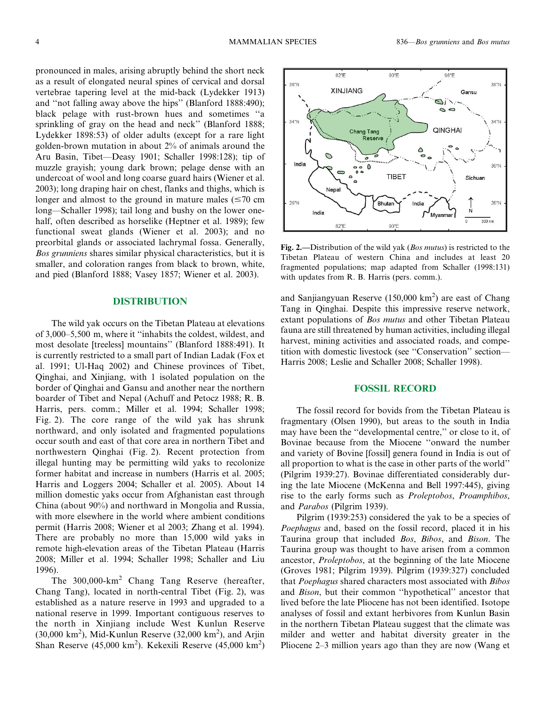pronounced in males, arising abruptly behind the short neck as a result of elongated neural spines of cervical and dorsal vertebrae tapering level at the mid-back (Lydekker 1913) and ''not falling away above the hips'' (Blanford 1888:490); black pelage with rust-brown hues and sometimes ''a sprinkling of gray on the head and neck'' (Blanford 1888; Lydekker 1898:53) of older adults (except for a rare light golden-brown mutation in about 2% of animals around the Aru Basin, Tibet—Deasy 1901; Schaller 1998:128); tip of muzzle grayish; young dark brown; pelage dense with an undercoat of wool and long coarse guard hairs (Wiener et al. 2003); long draping hair on chest, flanks and thighs, which is longer and almost to the ground in mature males  $(\leq 70 \text{ cm})$ long—Schaller 1998); tail long and bushy on the lower onehalf, often described as horselike (Heptner et al. 1989); few functional sweat glands (Wiener et al. 2003); and no preorbital glands or associated lachrymal fossa. Generally, Bos grunniens shares similar physical characteristics, but it is smaller, and coloration ranges from black to brown, white, and pied (Blanford 1888; Vasey 1857; Wiener et al. 2003).

# DISTRIBUTION

The wild yak occurs on the Tibetan Plateau at elevations of 3,000–5,500 m, where it ''inhabits the coldest, wildest, and most desolate [treeless] mountains'' (Blanford 1888:491). It is currently restricted to a small part of Indian Ladak (Fox et al. 1991; Ul-Haq 2002) and Chinese provinces of Tibet, Qinghai, and Xinjiang, with 1 isolated population on the border of Qinghai and Gansu and another near the northern boarder of Tibet and Nepal (Achuff and Petocz 1988; R. B. Harris, pers. comm.; Miller et al. 1994; Schaller 1998; Fig. 2). The core range of the wild yak has shrunk northward, and only isolated and fragmented populations occur south and east of that core area in northern Tibet and northwestern Qinghai (Fig. 2). Recent protection from illegal hunting may be permitting wild yaks to recolonize former habitat and increase in numbers (Harris et al. 2005; Harris and Loggers 2004; Schaller et al. 2005). About 14 million domestic yaks occur from Afghanistan east through China (about 90%) and northward in Mongolia and Russia, with more elsewhere in the world where ambient conditions permit (Harris 2008; Wiener et al 2003; Zhang et al. 1994). There are probably no more than 15,000 wild yaks in remote high-elevation areas of the Tibetan Plateau (Harris 2008; Miller et al. 1994; Schaller 1998; Schaller and Liu 1996).

The 300,000-km<sup>2</sup> Chang Tang Reserve (hereafter, Chang Tang), located in north-central Tibet (Fig. 2), was established as a nature reserve in 1993 and upgraded to a national reserve in 1999. Important contiguous reserves to the north in Xinjiang include West Kunlun Reserve  $(30,000 \text{ km}^2)$ , Mid-Kunlun Reserve  $(32,000 \text{ km}^2)$ , and Arjin Shan Reserve (45,000 km<sup>2</sup>). Kekexili Reserve (45,000 km<sup>2</sup>)



Fig. 2.—Distribution of the wild yak (*Bos mutus*) is restricted to the Tibetan Plateau of western China and includes at least 20 fragmented populations; map adapted from Schaller (1998:131) with updates from R. B. Harris (pers. comm.).

and Sanjiangyuan Reserve (150,000  $km^2$ ) are east of Chang Tang in Qinghai. Despite this impressive reserve network, extant populations of *Bos mutus* and other Tibetan Plateau fauna are still threatened by human activities, including illegal harvest, mining activities and associated roads, and competition with domestic livestock (see ''Conservation'' section— Harris 2008; Leslie and Schaller 2008; Schaller 1998).

# FOSSIL RECORD

The fossil record for bovids from the Tibetan Plateau is fragmentary (Olsen 1990), but areas to the south in India may have been the ''developmental centre,'' or close to it, of Bovinae because from the Miocene ''onward the number and variety of Bovine [fossil] genera found in India is out of all proportion to what is the case in other parts of the world'' (Pilgrim 1939:27). Bovinae differentiated considerably during the late Miocene (McKenna and Bell 1997:445), giving rise to the early forms such as Proleptobos, Proamphibos, and Parabos (Pilgrim 1939).

Pilgrim (1939:253) considered the yak to be a species of Poephagus and, based on the fossil record, placed it in his Taurina group that included Bos, Bibos, and Bison. The Taurina group was thought to have arisen from a common ancestor, Proleptobos, at the beginning of the late Miocene (Groves 1981; Pilgrim 1939). Pilgrim (1939:327) concluded that Poephagus shared characters most associated with Bibos and Bison, but their common ''hypothetical'' ancestor that lived before the late Pliocene has not been identified. Isotope analyses of fossil and extant herbivores from Kunlun Basin in the northern Tibetan Plateau suggest that the climate was milder and wetter and habitat diversity greater in the Pliocene 2–3 million years ago than they are now (Wang et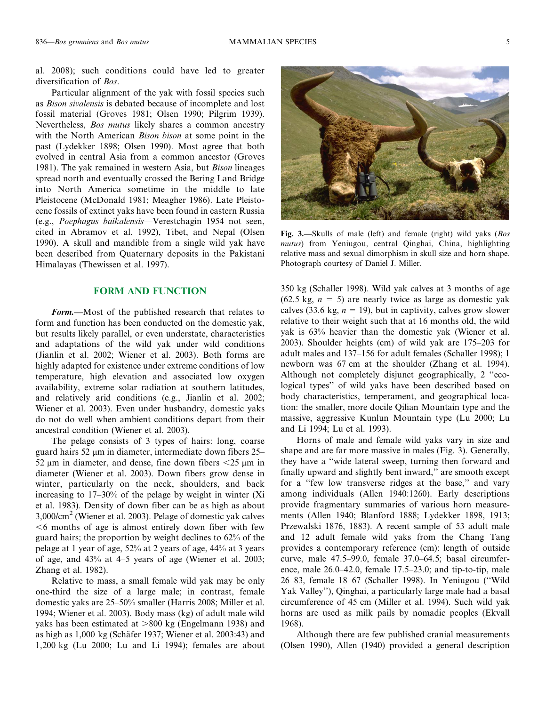al. 2008); such conditions could have led to greater diversification of *Bos*.

Particular alignment of the yak with fossil species such as Bison sivalensis is debated because of incomplete and lost fossil material (Groves 1981; Olsen 1990; Pilgrim 1939). Nevertheless, Bos mutus likely shares a common ancestry with the North American *Bison bison* at some point in the past (Lydekker 1898; Olsen 1990). Most agree that both evolved in central Asia from a common ancestor (Groves 1981). The yak remained in western Asia, but Bison lineages spread north and eventually crossed the Bering Land Bridge into North America sometime in the middle to late Pleistocene (McDonald 1981; Meagher 1986). Late Pleistocene fossils of extinct yaks have been found in eastern Russia (e.g., Poephagus baikalensis—Verestchagin 1954 not seen, cited in Abramov et al. 1992), Tibet, and Nepal (Olsen 1990). A skull and mandible from a single wild yak have been described from Quaternary deposits in the Pakistani Himalayas (Thewissen et al. 1997).

#### FORM AND FUNCTION

Form.—Most of the published research that relates to form and function has been conducted on the domestic yak, but results likely parallel, or even understate, characteristics and adaptations of the wild yak under wild conditions (Jianlin et al. 2002; Wiener et al. 2003). Both forms are highly adapted for existence under extreme conditions of low temperature, high elevation and associated low oxygen availability, extreme solar radiation at southern latitudes, and relatively arid conditions (e.g., Jianlin et al. 2002; Wiener et al. 2003). Even under husbandry, domestic yaks do not do well when ambient conditions depart from their ancestral condition (Wiener et al. 2003).

The pelage consists of 3 types of hairs: long, coarse guard hairs 52 µm in diameter, intermediate down fibers 25– 52 um in diameter, and dense, fine down fibers  $\leq$ 25 um in diameter (Wiener et al. 2003). Down fibers grow dense in winter, particularly on the neck, shoulders, and back increasing to 17–30% of the pelage by weight in winter (Xi et al. 1983). Density of down fiber can be as high as about 3,000/cm<sup>2</sup> (Wiener et al. 2003). Pelage of domestic yak calves  $\leq 6$  months of age is almost entirely down fiber with few guard hairs; the proportion by weight declines to 62% of the pelage at 1 year of age, 52% at 2 years of age, 44% at 3 years of age, and 43% at 4–5 years of age (Wiener et al. 2003; Zhang et al. 1982).

Relative to mass, a small female wild yak may be only one-third the size of a large male; in contrast, female domestic yaks are 25–50% smaller (Harris 2008; Miller et al. 1994; Wiener et al. 2003). Body mass (kg) of adult male wild yaks has been estimated at  $>800$  kg (Engelmann 1938) and as high as  $1,000 \text{ kg}$  (Schäfer 1937; Wiener et al. 2003:43) and 1,200 kg (Lu 2000; Lu and Li 1994); females are about



Fig. 3.—Skulls of male (left) and female (right) wild yaks (Bos mutus) from Yeniugou, central Qinghai, China, highlighting relative mass and sexual dimorphism in skull size and horn shape. Photograph courtesy of Daniel J. Miller.

350 kg (Schaller 1998). Wild yak calves at 3 months of age (62.5 kg,  $n = 5$ ) are nearly twice as large as domestic yak calves (33.6 kg,  $n = 19$ ), but in captivity, calves grow slower relative to their weight such that at 16 months old, the wild yak is 63% heavier than the domestic yak (Wiener et al. 2003). Shoulder heights (cm) of wild yak are 175–203 for adult males and 137–156 for adult females (Schaller 1998); 1 newborn was 67 cm at the shoulder (Zhang et al. 1994). Although not completely disjunct geographically, 2 ''ecological types'' of wild yaks have been described based on body characteristics, temperament, and geographical location: the smaller, more docile Qilian Mountain type and the massive, aggressive Kunlun Mountain type (Lu 2000; Lu and Li 1994; Lu et al. 1993).

Horns of male and female wild yaks vary in size and shape and are far more massive in males (Fig. 3). Generally, they have a ''wide lateral sweep, turning then forward and finally upward and slightly bent inward,'' are smooth except for a ''few low transverse ridges at the base,'' and vary among individuals (Allen 1940:1260). Early descriptions provide fragmentary summaries of various horn measurements (Allen 1940; Blanford 1888; Lydekker 1898, 1913; Przewalski 1876, 1883). A recent sample of 53 adult male and 12 adult female wild yaks from the Chang Tang provides a contemporary reference (cm): length of outside curve, male 47.5–99.0, female 37.0–64.5; basal circumference, male 26.0–42.0, female 17.5–23.0; and tip-to-tip, male 26–83, female 18–67 (Schaller 1998). In Yeniugou (''Wild Yak Valley''), Qinghai, a particularly large male had a basal circumference of 45 cm (Miller et al. 1994). Such wild yak horns are used as milk pails by nomadic peoples (Ekvall 1968).

Although there are few published cranial measurements (Olsen 1990), Allen (1940) provided a general description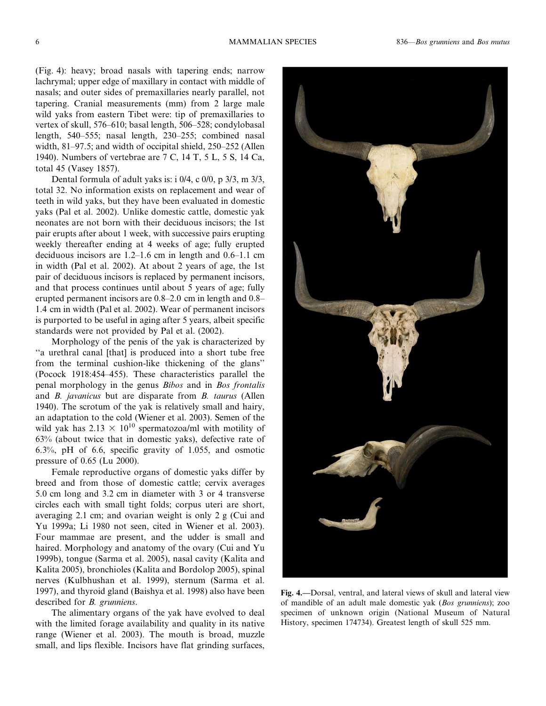(Fig. 4): heavy; broad nasals with tapering ends; narrow lachrymal; upper edge of maxillary in contact with middle of nasals; and outer sides of premaxillaries nearly parallel, not tapering. Cranial measurements (mm) from 2 large male wild yaks from eastern Tibet were: tip of premaxillaries to vertex of skull, 576–610; basal length, 506–528; condylobasal length, 540–555; nasal length, 230–255; combined nasal width, 81–97.5; and width of occipital shield, 250–252 (Allen 1940). Numbers of vertebrae are 7 C, 14 T, 5 L, 5 S, 14 Ca, total 45 (Vasey 1857).

Dental formula of adult yaks is: i 0/4, c 0/0, p 3/3, m 3/3, total 32. No information exists on replacement and wear of teeth in wild yaks, but they have been evaluated in domestic yaks (Pal et al. 2002). Unlike domestic cattle, domestic yak neonates are not born with their deciduous incisors; the 1st pair erupts after about 1 week, with successive pairs erupting weekly thereafter ending at 4 weeks of age; fully erupted deciduous incisors are 1.2–1.6 cm in length and 0.6–1.1 cm in width (Pal et al. 2002). At about 2 years of age, the 1st pair of deciduous incisors is replaced by permanent incisors, and that process continues until about 5 years of age; fully erupted permanent incisors are 0.8–2.0 cm in length and 0.8– 1.4 cm in width (Pal et al. 2002). Wear of permanent incisors is purported to be useful in aging after 5 years, albeit specific standards were not provided by Pal et al. (2002).

Morphology of the penis of the yak is characterized by ''a urethral canal [that] is produced into a short tube free from the terminal cushion-like thickening of the glans'' (Pocock 1918:454–455). These characteristics parallel the penal morphology in the genus Bibos and in Bos frontalis and B. javanicus but are disparate from B. taurus (Allen 1940). The scrotum of the yak is relatively small and hairy, an adaptation to the cold (Wiener et al. 2003). Semen of the wild yak has  $2.13 \times 10^{10}$  spermatozoa/ml with motility of 63% (about twice that in domestic yaks), defective rate of 6.3%, pH of 6.6, specific gravity of 1.055, and osmotic pressure of 0.65 (Lu 2000).

Female reproductive organs of domestic yaks differ by breed and from those of domestic cattle; cervix averages 5.0 cm long and 3.2 cm in diameter with 3 or 4 transverse circles each with small tight folds; corpus uteri are short, averaging 2.1 cm; and ovarian weight is only 2 g (Cui and Yu 1999a; Li 1980 not seen, cited in Wiener et al. 2003). Four mammae are present, and the udder is small and haired. Morphology and anatomy of the ovary (Cui and Yu 1999b), tongue (Sarma et al. 2005), nasal cavity (Kalita and Kalita 2005), bronchioles (Kalita and Bordolop 2005), spinal nerves (Kulbhushan et al. 1999), sternum (Sarma et al. 1997), and thyroid gland (Baishya et al. 1998) also have been described for B. grunniens.

The alimentary organs of the yak have evolved to deal with the limited forage availability and quality in its native range (Wiener et al. 2003). The mouth is broad, muzzle small, and lips flexible. Incisors have flat grinding surfaces,



Fig. 4.—Dorsal, ventral, and lateral views of skull and lateral view of mandible of an adult male domestic yak (Bos grunniens); zoo specimen of unknown origin (National Museum of Natural History, specimen 174734). Greatest length of skull 525 mm.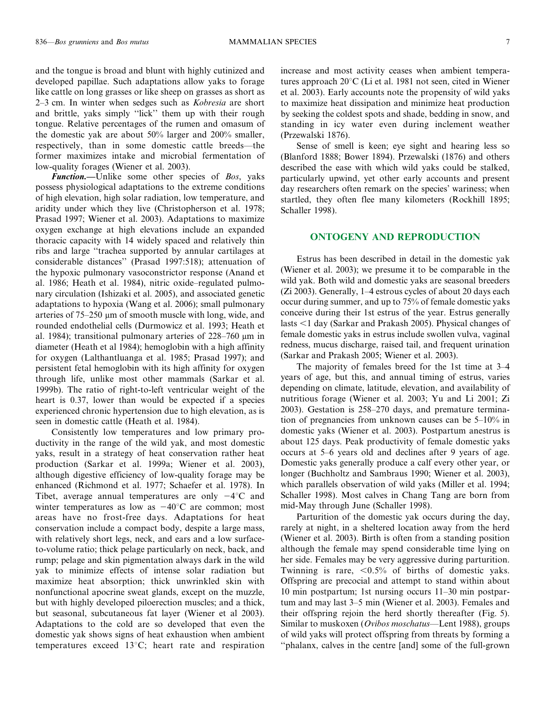and the tongue is broad and blunt with highly cutinized and developed papillae. Such adaptations allow yaks to forage like cattle on long grasses or like sheep on grasses as short as 2–3 cm. In winter when sedges such as Kobresia are short and brittle, yaks simply ''lick'' them up with their rough tongue. Relative percentages of the rumen and omasum of the domestic yak are about 50% larger and 200% smaller, respectively, than in some domestic cattle breeds—the former maximizes intake and microbial fermentation of low-quality forages (Wiener et al. 2003).

Function.—Unlike some other species of Bos, yaks possess physiological adaptations to the extreme conditions of high elevation, high solar radiation, low temperature, and aridity under which they live (Christopherson et al. 1978; Prasad 1997; Wiener et al. 2003). Adaptations to maximize oxygen exchange at high elevations include an expanded thoracic capacity with 14 widely spaced and relatively thin ribs and large ''trachea supported by annular cartilages at considerable distances'' (Prasad 1997:518); attenuation of the hypoxic pulmonary vasoconstrictor response (Anand et al. 1986; Heath et al. 1984), nitric oxide–regulated pulmonary circulation (Ishizaki et al. 2005), and associated genetic adaptations to hypoxia (Wang et al. 2006); small pulmonary arteries of 75–250 µm of smooth muscle with long, wide, and rounded endothelial cells (Durmowicz et al. 1993; Heath et al. 1984); transitional pulmonary arteries of  $228-760 \mu m$  in diameter (Heath et al 1984); hemoglobin with a high affinity for oxygen (Lalthantluanga et al. 1985; Prasad 1997); and persistent fetal hemoglobin with its high affinity for oxygen through life, unlike most other mammals (Sarkar et al. 1999b). The ratio of right-to-left ventricular weight of the heart is 0.37, lower than would be expected if a species experienced chronic hypertension due to high elevation, as is seen in domestic cattle (Heath et al. 1984).

Consistently low temperatures and low primary productivity in the range of the wild yak, and most domestic yaks, result in a strategy of heat conservation rather heat production (Sarkar et al. 1999a; Wiener et al. 2003), although digestive efficiency of low-quality forage may be enhanced (Richmond et al. 1977; Schaefer et al. 1978). In Tibet, average annual temperatures are only  $-4^{\circ}$ C and winter temperatures as low as  $-40^{\circ}$ C are common; most areas have no frost-free days. Adaptations for heat conservation include a compact body, despite a large mass, with relatively short legs, neck, and ears and a low surfaceto-volume ratio; thick pelage particularly on neck, back, and rump; pelage and skin pigmentation always dark in the wild yak to minimize effects of intense solar radiation but maximize heat absorption; thick unwrinkled skin with nonfunctional apocrine sweat glands, except on the muzzle, but with highly developed piloerection muscles; and a thick, but seasonal, subcutaneous fat layer (Wiener et al 2003). Adaptations to the cold are so developed that even the domestic yak shows signs of heat exhaustion when ambient temperatures exceed  $13^{\circ}$ C; heart rate and respiration increase and most activity ceases when ambient temperatures approach  $20^{\circ}$ C (Li et al. 1981 not seen, cited in Wiener et al. 2003). Early accounts note the propensity of wild yaks to maximize heat dissipation and minimize heat production by seeking the coldest spots and shade, bedding in snow, and standing in icy water even during inclement weather (Przewalski 1876).

Sense of smell is keen; eye sight and hearing less so (Blanford 1888; Bower 1894). Przewalski (1876) and others described the ease with which wild yaks could be stalked, particularly upwind, yet other early accounts and present day researchers often remark on the species' wariness; when startled, they often flee many kilometers (Rockhill 1895; Schaller 1998).

#### ONTOGENY AND REPRODUCTION

Estrus has been described in detail in the domestic yak (Wiener et al. 2003); we presume it to be comparable in the wild yak. Both wild and domestic yaks are seasonal breeders (Zi 2003). Generally, 1–4 estrous cycles of about 20 days each occur during summer, and up to 75% of female domestic yaks conceive during their 1st estrus of the year. Estrus generally lasts <1 day (Sarkar and Prakash 2005). Physical changes of female domestic yaks in estrus include swollen vulva, vaginal redness, mucus discharge, raised tail, and frequent urination (Sarkar and Prakash 2005; Wiener et al. 2003).

The majority of females breed for the 1st time at 3–4 years of age, but this, and annual timing of estrus, varies depending on climate, latitude, elevation, and availability of nutritious forage (Wiener et al. 2003; Yu and Li 2001; Zi 2003). Gestation is 258–270 days, and premature termination of pregnancies from unknown causes can be 5–10% in domestic yaks (Wiener et al. 2003). Postpartum anestrus is about 125 days. Peak productivity of female domestic yaks occurs at 5–6 years old and declines after 9 years of age. Domestic yaks generally produce a calf every other year, or longer (Buchholtz and Sambraus 1990; Wiener et al. 2003), which parallels observation of wild yaks (Miller et al. 1994; Schaller 1998). Most calves in Chang Tang are born from mid-May through June (Schaller 1998).

Parturition of the domestic yak occurs during the day, rarely at night, in a sheltered location away from the herd (Wiener et al. 2003). Birth is often from a standing position although the female may spend considerable time lying on her side. Females may be very aggressive during parturition. Twinning is rare,  $\langle 0.5\%$  of births of domestic yaks. Offspring are precocial and attempt to stand within about 10 min postpartum; 1st nursing occurs 11–30 min postpartum and may last 3–5 min (Wiener et al. 2003). Females and their offspring rejoin the herd shortly thereafter (Fig. 5). Similar to muskoxen (Ovibos moschatus—Lent 1988), groups of wild yaks will protect offspring from threats by forming a ''phalanx, calves in the centre [and] some of the full-grown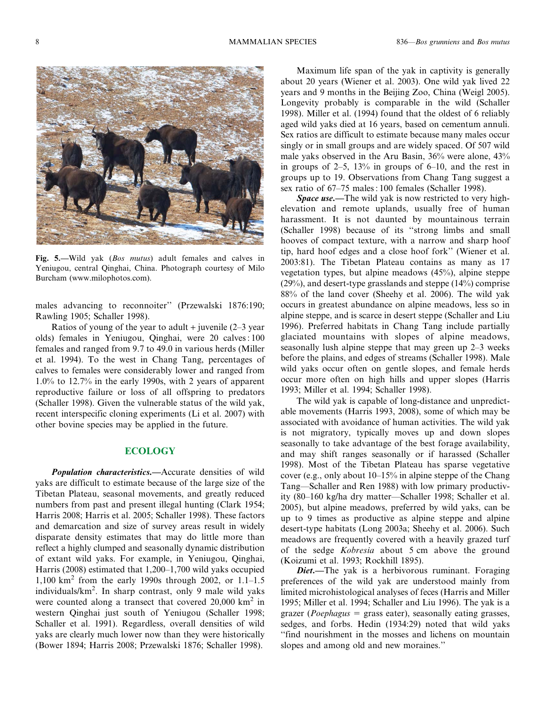

Fig. 5.—Wild yak (Bos mutus) adult females and calves in Yeniugou, central Qinghai, China. Photograph courtesy of Milo Burcham (www.milophotos.com).

males advancing to reconnoiter'' (Przewalski 1876:190; Rawling 1905; Schaller 1998).

Ratios of young of the year to adult  $+$  juvenile (2–3 year olds) females in Yeniugou, Qinghai, were 20 calves : 100 females and ranged from 9.7 to 49.0 in various herds (Miller et al. 1994). To the west in Chang Tang, percentages of calves to females were considerably lower and ranged from 1.0% to 12.7% in the early 1990s, with 2 years of apparent reproductive failure or loss of all offspring to predators (Schaller 1998). Given the vulnerable status of the wild yak, recent interspecific cloning experiments (Li et al. 2007) with other bovine species may be applied in the future.

# **ECOLOGY**

**Population characteristics.—Accurate densities of wild** yaks are difficult to estimate because of the large size of the Tibetan Plateau, seasonal movements, and greatly reduced numbers from past and present illegal hunting (Clark 1954; Harris 2008; Harris et al. 2005; Schaller 1998). These factors and demarcation and size of survey areas result in widely disparate density estimates that may do little more than reflect a highly clumped and seasonally dynamic distribution of extant wild yaks. For example, in Yeniugou, Qinghai, Harris (2008) estimated that 1,200–1,700 wild yaks occupied 1,100 km<sup>2</sup> from the early 1990s through 2002, or 1.1–1.5 individuals/km<sup>2</sup>. In sharp contrast, only 9 male wild yaks were counted along a transect that covered  $20,000 \text{ km}^2$  in western Qinghai just south of Yeniugou (Schaller 1998; Schaller et al. 1991). Regardless, overall densities of wild yaks are clearly much lower now than they were historically (Bower 1894; Harris 2008; Przewalski 1876; Schaller 1998).

Maximum life span of the yak in captivity is generally about 20 years (Wiener et al. 2003). One wild yak lived 22 years and 9 months in the Beijing Zoo, China (Weigl 2005). Longevity probably is comparable in the wild (Schaller 1998). Miller et al. (1994) found that the oldest of 6 reliably aged wild yaks died at 16 years, based on cementum annuli. Sex ratios are difficult to estimate because many males occur singly or in small groups and are widely spaced. Of 507 wild male yaks observed in the Aru Basin, 36% were alone, 43% in groups of  $2-5$ ,  $13\%$  in groups of  $6-10$ , and the rest in groups up to 19. Observations from Chang Tang suggest a sex ratio of 67–75 males : 100 females (Schaller 1998).

Space use.—The wild yak is now restricted to very highelevation and remote uplands, usually free of human harassment. It is not daunted by mountainous terrain (Schaller 1998) because of its ''strong limbs and small hooves of compact texture, with a narrow and sharp hoof tip, hard hoof edges and a close hoof fork'' (Wiener et al. 2003:81). The Tibetan Plateau contains as many as 17 vegetation types, but alpine meadows (45%), alpine steppe (29%), and desert-type grasslands and steppe (14%) comprise 88% of the land cover (Sheehy et al. 2006). The wild yak occurs in greatest abundance on alpine meadows, less so in alpine steppe, and is scarce in desert steppe (Schaller and Liu 1996). Preferred habitats in Chang Tang include partially glaciated mountains with slopes of alpine meadows, seasonally lush alpine steppe that may green up 2–3 weeks before the plains, and edges of streams (Schaller 1998). Male wild yaks occur often on gentle slopes, and female herds occur more often on high hills and upper slopes (Harris 1993; Miller et al. 1994; Schaller 1998).

The wild yak is capable of long-distance and unpredictable movements (Harris 1993, 2008), some of which may be associated with avoidance of human activities. The wild yak is not migratory, typically moves up and down slopes seasonally to take advantage of the best forage availability, and may shift ranges seasonally or if harassed (Schaller 1998). Most of the Tibetan Plateau has sparse vegetative cover (e.g., only about 10–15% in alpine steppe of the Chang Tang—Schaller and Ren 1988) with low primary productivity (80–160 kg/ha dry matter—Schaller 1998; Schaller et al. 2005), but alpine meadows, preferred by wild yaks, can be up to 9 times as productive as alpine steppe and alpine desert-type habitats (Long 2003a; Sheehy et al. 2006). Such meadows are frequently covered with a heavily grazed turf of the sedge Kobresia about 5 cm above the ground (Koizumi et al. 1993; Rockhill 1895).

Diet.-The yak is a herbivorous ruminant. Foraging preferences of the wild yak are understood mainly from limited microhistological analyses of feces (Harris and Miller 1995; Miller et al. 1994; Schaller and Liu 1996). The yak is a grazer (*Poephagus*  $=$  grass eater), seasonally eating grasses, sedges, and forbs. Hedin (1934:29) noted that wild yaks ''find nourishment in the mosses and lichens on mountain slopes and among old and new moraines.''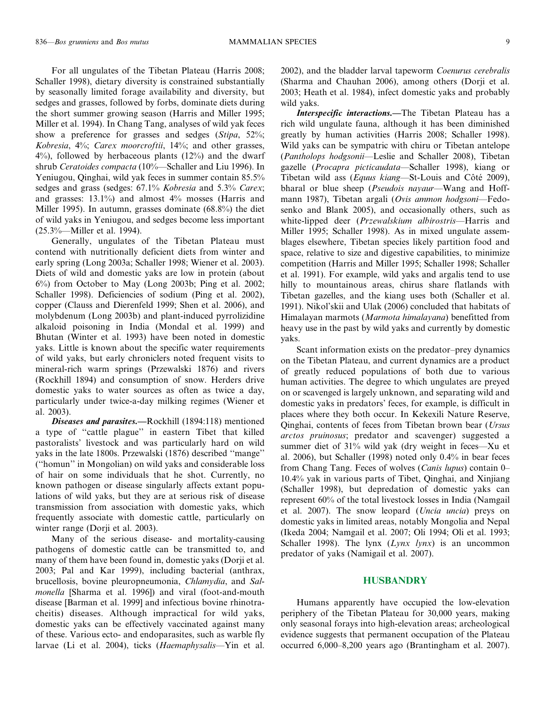For all ungulates of the Tibetan Plateau (Harris 2008; Schaller 1998), dietary diversity is constrained substantially by seasonally limited forage availability and diversity, but sedges and grasses, followed by forbs, dominate diets during the short summer growing season (Harris and Miller 1995; Miller et al. 1994). In Chang Tang, analyses of wild yak feces show a preference for grasses and sedges (Stipa, 52%; Kobresia, 4%; Carex moorcroftii, 14%; and other grasses, 4%), followed by herbaceous plants (12%) and the dwarf shrub Ceratoides compacta (10%—Schaller and Liu 1996). In Yeniugou, Qinghai, wild yak feces in summer contain 85.5% sedges and grass (sedges: 67.1% Kobresia and 5.3% Carex; and grasses: 13.1%) and almost 4% mosses (Harris and Miller 1995). In autumn, grasses dominate (68.8%) the diet of wild yaks in Yeniugou, and sedges become less important (25.3%—Miller et al. 1994).

Generally, ungulates of the Tibetan Plateau must contend with nutritionally deficient diets from winter and early spring (Long 2003a; Schaller 1998; Wiener et al. 2003). Diets of wild and domestic yaks are low in protein (about 6%) from October to May (Long 2003b; Ping et al. 2002; Schaller 1998). Deficiencies of sodium (Ping et al. 2002), copper (Clauss and Dierenfeld 1999; Shen et al. 2006), and molybdenum (Long 2003b) and plant-induced pyrrolizidine alkaloid poisoning in India (Mondal et al. 1999) and Bhutan (Winter et al. 1993) have been noted in domestic yaks. Little is known about the specific water requirements of wild yaks, but early chroniclers noted frequent visits to mineral-rich warm springs (Przewalski 1876) and rivers (Rockhill 1894) and consumption of snow. Herders drive domestic yaks to water sources as often as twice a day, particularly under twice-a-day milking regimes (Wiener et al. 2003).

Diseases and parasites.-Rockhill (1894:118) mentioned a type of ''cattle plague'' in eastern Tibet that killed pastoralists' livestock and was particularly hard on wild yaks in the late 1800s. Przewalski (1876) described ''mange'' (''homun'' in Mongolian) on wild yaks and considerable loss of hair on some individuals that he shot. Currently, no known pathogen or disease singularly affects extant populations of wild yaks, but they are at serious risk of disease transmission from association with domestic yaks, which frequently associate with domestic cattle, particularly on winter range (Dorji et al. 2003).

Many of the serious disease- and mortality-causing pathogens of domestic cattle can be transmitted to, and many of them have been found in, domestic yaks (Dorji et al. 2003; Pal and Kar 1999), including bacterial (anthrax, brucellosis, bovine pleuropneumonia, Chlamydia, and Salmonella [Sharma et al. 1996]) and viral (foot-and-mouth disease [Barman et al. 1999] and infectious bovine rhinotracheitis) diseases. Although impractical for wild yaks, domestic yaks can be effectively vaccinated against many of these. Various ecto- and endoparasites, such as warble fly larvae (Li et al. 2004), ticks (Haemaphysalis—Yin et al. 2002), and the bladder larval tapeworm Coenurus cerebralis (Sharma and Chauhan 2006), among others (Dorji et al. 2003; Heath et al. 1984), infect domestic yaks and probably wild yaks.

Interspecific interactions.—The Tibetan Plateau has a rich wild ungulate fauna, although it has been diminished greatly by human activities (Harris 2008; Schaller 1998). Wild yaks can be sympatric with chiru or Tibetan antelope (Pantholops hodgsonii—Leslie and Schaller 2008), Tibetan gazelle (Procapra picticaudata—Schaller 1998), kiang or Tibetan wild ass (*Equus kiang*—St-Louis and Côté 2009), bharal or blue sheep (Pseudois nayaur—Wang and Hoffmann 1987), Tibetan argali (Ovis ammon hodgsoni—Fedosenko and Blank 2005), and occasionally others, such as white-lipped deer (Przewalskium albirostris—Harris and Miller 1995; Schaller 1998). As in mixed ungulate assemblages elsewhere, Tibetan species likely partition food and space, relative to size and digestive capabilities, to minimize competition (Harris and Miller 1995; Schaller 1998; Schaller et al. 1991). For example, wild yaks and argalis tend to use hilly to mountainous areas, chirus share flatlands with Tibetan gazelles, and the kiang uses both (Schaller et al. 1991). Nikol'skii and Ulak (2006) concluded that habitats of Himalayan marmots (Marmota himalayana) benefitted from heavy use in the past by wild yaks and currently by domestic yaks.

Scant information exists on the predator–prey dynamics on the Tibetan Plateau, and current dynamics are a product of greatly reduced populations of both due to various human activities. The degree to which ungulates are preyed on or scavenged is largely unknown, and separating wild and domestic yaks in predators' feces, for example, is difficult in places where they both occur. In Kekexili Nature Reserve, Qinghai, contents of feces from Tibetan brown bear (Ursus arctos pruinosus; predator and scavenger) suggested a summer diet of 31% wild yak (dry weight in feces—Xu et al. 2006), but Schaller (1998) noted only 0.4% in bear feces from Chang Tang. Feces of wolves (Canis lupus) contain 0– 10.4% yak in various parts of Tibet, Qinghai, and Xinjiang (Schaller 1998), but depredation of domestic yaks can represent 60% of the total livestock losses in India (Namgail et al. 2007). The snow leopard (Uncia uncia) preys on domestic yaks in limited areas, notably Mongolia and Nepal (Ikeda 2004; Namgail et al. 2007; Oli 1994; Oli et al. 1993; Schaller 1998). The lynx  $(Lynx \, lynx)$  is an uncommon predator of yaks (Namigail et al. 2007).

## **HUSBANDRY**

Humans apparently have occupied the low-elevation periphery of the Tibetan Plateau for 30,000 years, making only seasonal forays into high-elevation areas; archeological evidence suggests that permanent occupation of the Plateau occurred 6,000–8,200 years ago (Brantingham et al. 2007).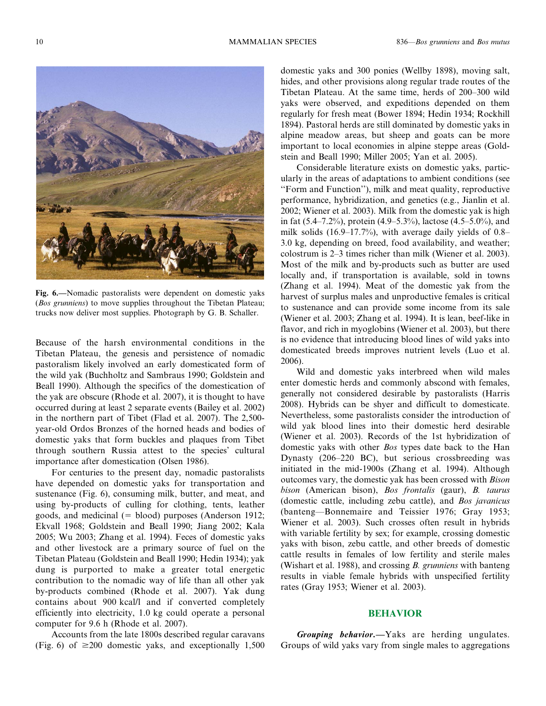

Fig. 6.—Nomadic pastoralists were dependent on domestic yaks (Bos grunniens) to move supplies throughout the Tibetan Plateau; trucks now deliver most supplies. Photograph by G. B. Schaller.

Because of the harsh environmental conditions in the Tibetan Plateau, the genesis and persistence of nomadic pastoralism likely involved an early domesticated form of the wild yak (Buchholtz and Sambraus 1990; Goldstein and Beall 1990). Although the specifics of the domestication of the yak are obscure (Rhode et al. 2007), it is thought to have occurred during at least 2 separate events (Bailey et al. 2002) in the northern part of Tibet (Flad et al. 2007). The 2,500 year-old Ordos Bronzes of the horned heads and bodies of domestic yaks that form buckles and plaques from Tibet through southern Russia attest to the species' cultural importance after domestication (Olsen 1986).

For centuries to the present day, nomadic pastoralists have depended on domestic yaks for transportation and sustenance (Fig. 6), consuming milk, butter, and meat, and using by-products of culling for clothing, tents, leather goods, and medicinal  $(=$  blood) purposes (Anderson 1912; Ekvall 1968; Goldstein and Beall 1990; Jiang 2002; Kala 2005; Wu 2003; Zhang et al. 1994). Feces of domestic yaks and other livestock are a primary source of fuel on the Tibetan Plateau (Goldstein and Beall 1990; Hedin 1934); yak dung is purported to make a greater total energetic contribution to the nomadic way of life than all other yak by-products combined (Rhode et al. 2007). Yak dung contains about 900 kcal/l and if converted completely efficiently into electricity, 1.0 kg could operate a personal computer for 9.6 h (Rhode et al. 2007).

Accounts from the late 1800s described regular caravans (Fig. 6) of  $\geq 200$  domestic yaks, and exceptionally 1,500 domestic yaks and 300 ponies (Wellby 1898), moving salt, hides, and other provisions along regular trade routes of the Tibetan Plateau. At the same time, herds of 200–300 wild yaks were observed, and expeditions depended on them regularly for fresh meat (Bower 1894; Hedin 1934; Rockhill 1894). Pastoral herds are still dominated by domestic yaks in alpine meadow areas, but sheep and goats can be more important to local economies in alpine steppe areas (Goldstein and Beall 1990; Miller 2005; Yan et al. 2005).

Considerable literature exists on domestic yaks, particularly in the areas of adaptations to ambient conditions (see ''Form and Function''), milk and meat quality, reproductive performance, hybridization, and genetics (e.g., Jianlin et al. 2002; Wiener et al. 2003). Milk from the domestic yak is high in fat (5.4–7.2%), protein (4.9–5.3%), lactose (4.5–5.0%), and milk solids (16.9–17.7%), with average daily yields of 0.8– 3.0 kg, depending on breed, food availability, and weather; colostrum is 2–3 times richer than milk (Wiener et al. 2003). Most of the milk and by-products such as butter are used locally and, if transportation is available, sold in towns (Zhang et al. 1994). Meat of the domestic yak from the harvest of surplus males and unproductive females is critical to sustenance and can provide some income from its sale (Wiener et al. 2003; Zhang et al. 1994). It is lean, beef-like in flavor, and rich in myoglobins (Wiener et al. 2003), but there is no evidence that introducing blood lines of wild yaks into domesticated breeds improves nutrient levels (Luo et al. 2006).

Wild and domestic yaks interbreed when wild males enter domestic herds and commonly abscond with females, generally not considered desirable by pastoralists (Harris 2008). Hybrids can be shyer and difficult to domesticate. Nevertheless, some pastoralists consider the introduction of wild yak blood lines into their domestic herd desirable (Wiener et al. 2003). Records of the 1st hybridization of domestic yaks with other Bos types date back to the Han Dynasty (206–220 BC), but serious crossbreeding was initiated in the mid-1900s (Zhang et al. 1994). Although outcomes vary, the domestic yak has been crossed with Bison bison (American bison), Bos frontalis (gaur), B. taurus (domestic cattle, including zebu cattle), and Bos javanicus (banteng—Bonnemaire and Teissier 1976; Gray 1953; Wiener et al. 2003). Such crosses often result in hybrids with variable fertility by sex; for example, crossing domestic yaks with bison, zebu cattle, and other breeds of domestic cattle results in females of low fertility and sterile males (Wishart et al. 1988), and crossing *B. grunniens* with banteng results in viable female hybrids with unspecified fertility rates (Gray 1953; Wiener et al. 2003).

#### BEHAVIOR

Grouping behavior.—Yaks are herding ungulates. Groups of wild yaks vary from single males to aggregations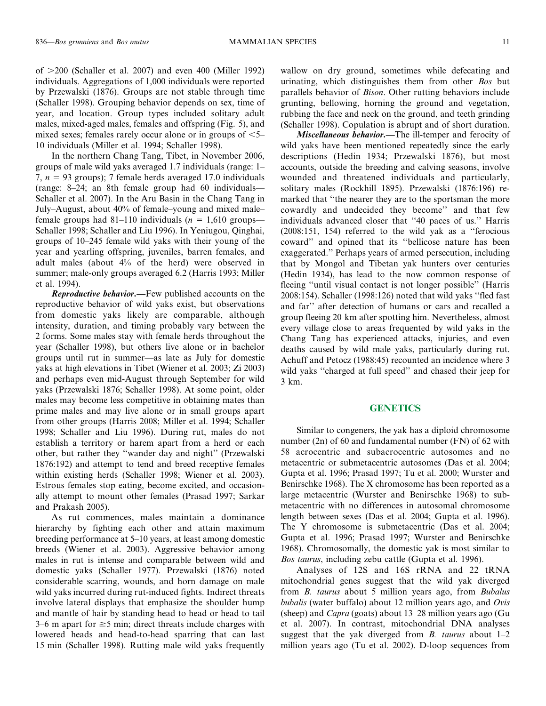of  $>200$  (Schaller et al. 2007) and even 400 (Miller 1992) individuals. Aggregations of 1,000 individuals were reported by Przewalski (1876). Groups are not stable through time (Schaller 1998). Grouping behavior depends on sex, time of year, and location. Group types included solitary adult males, mixed-aged males, females and offspring (Fig. 5), and mixed sexes; females rarely occur alone or in groups of  $\leq 5-$ 10 individuals (Miller et al. 1994; Schaller 1998).

In the northern Chang Tang, Tibet, in November 2006, groups of male wild yaks averaged 1.7 individuals (range: 1– 7,  $n = 93$  groups); 7 female herds averaged 17.0 individuals (range: 8–24; an 8th female group had 60 individuals— Schaller et al. 2007). In the Aru Basin in the Chang Tang in July–August, about 40% of female–young and mixed male– female groups had 81–110 individuals ( $n = 1,610$  groups— Schaller 1998; Schaller and Liu 1996). In Yeniugou, Qinghai, groups of 10–245 female wild yaks with their young of the year and yearling offspring, juveniles, barren females, and adult males (about 4% of the herd) were observed in summer; male-only groups averaged 6.2 (Harris 1993; Miller et al. 1994).

**Reproductive behavior.**—Few published accounts on the reproductive behavior of wild yaks exist, but observations from domestic yaks likely are comparable, although intensity, duration, and timing probably vary between the 2 forms. Some males stay with female herds throughout the year (Schaller 1998), but others live alone or in bachelor groups until rut in summer—as late as July for domestic yaks at high elevations in Tibet (Wiener et al. 2003; Zi 2003) and perhaps even mid-August through September for wild yaks (Przewalski 1876; Schaller 1998). At some point, older males may become less competitive in obtaining mates than prime males and may live alone or in small groups apart from other groups (Harris 2008; Miller et al. 1994; Schaller 1998; Schaller and Liu 1996). During rut, males do not establish a territory or harem apart from a herd or each other, but rather they ''wander day and night'' (Przewalski 1876:192) and attempt to tend and breed receptive females within existing herds (Schaller 1998; Wiener et al. 2003). Estrous females stop eating, become excited, and occasionally attempt to mount other females (Prasad 1997; Sarkar and Prakash 2005).

As rut commences, males maintain a dominance hierarchy by fighting each other and attain maximum breeding performance at 5–10 years, at least among domestic breeds (Wiener et al. 2003). Aggressive behavior among males in rut is intense and comparable between wild and domestic yaks (Schaller 1977). Przewalski (1876) noted considerable scarring, wounds, and horn damage on male wild yaks incurred during rut-induced fights. Indirect threats involve lateral displays that emphasize the shoulder hump and mantle of hair by standing head to head or head to tail 3–6 m apart for  $\geq$ 5 min; direct threats include charges with lowered heads and head-to-head sparring that can last 15 min (Schaller 1998). Rutting male wild yaks frequently wallow on dry ground, sometimes while defecating and urinating, which distinguishes them from other Bos but parallels behavior of Bison. Other rutting behaviors include grunting, bellowing, horning the ground and vegetation, rubbing the face and neck on the ground, and teeth grinding (Schaller 1998). Copulation is abrupt and of short duration.

Miscellaneous behavior.—The ill-temper and ferocity of wild yaks have been mentioned repeatedly since the early descriptions (Hedin 1934; Przewalski 1876), but most accounts, outside the breeding and calving seasons, involve wounded and threatened individuals and particularly, solitary males (Rockhill 1895). Przewalski (1876:196) remarked that ''the nearer they are to the sportsman the more cowardly and undecided they become'' and that few individuals advanced closer that ''40 paces of us.'' Harris (2008:151, 154) referred to the wild yak as a ''ferocious coward'' and opined that its ''bellicose nature has been exaggerated.'' Perhaps years of armed persecution, including that by Mongol and Tibetan yak hunters over centuries (Hedin 1934), has lead to the now common response of fleeing ''until visual contact is not longer possible'' (Harris 2008:154). Schaller (1998:126) noted that wild yaks ''fled fast and far'' after detection of humans or cars and recalled a group fleeing 20 km after spotting him. Nevertheless, almost every village close to areas frequented by wild yaks in the Chang Tang has experienced attacks, injuries, and even deaths caused by wild male yaks, particularly during rut. Achuff and Petocz (1988:45) recounted an incidence where 3 wild yaks ''charged at full speed'' and chased their jeep for 3 km.

#### **GENETICS**

Similar to congeners, the yak has a diploid chromosome number (2n) of 60 and fundamental number (FN) of 62 with 58 acrocentric and subacrocentric autosomes and no metacentric or submetacentric autosomes (Das et al. 2004; Gupta et al. 1996; Prasad 1997; Tu et al. 2000; Wurster and Benirschke 1968). The X chromosome has been reported as a large metacentric (Wurster and Benirschke 1968) to submetacentric with no differences in autosomal chromosome length between sexes (Das et al. 2004; Gupta et al. 1996). The Y chromosome is submetacentric (Das et al. 2004; Gupta et al. 1996; Prasad 1997; Wurster and Benirschke 1968). Chromosomally, the domestic yak is most similar to Bos taurus, including zebu cattle (Gupta et al. 1996).

Analyses of 12S and 16S rRNA and 22 tRNA mitochondrial genes suggest that the wild yak diverged from B. taurus about 5 million years ago, from Bubalus bubalis (water buffalo) about 12 million years ago, and  $Ovis$ (sheep) and Capra (goats) about 13–28 million years ago (Gu et al. 2007). In contrast, mitochondrial DNA analyses suggest that the yak diverged from *B. taurus* about  $1-2$ million years ago (Tu et al. 2002). D-loop sequences from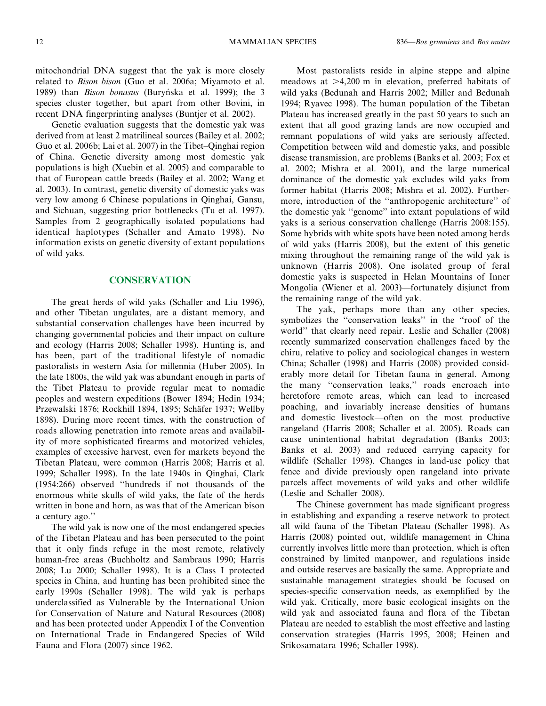mitochondrial DNA suggest that the yak is more closely related to Bison bison (Guo et al. 2006a; Miyamoto et al. 1989) than Bison bonasus (Buryńska et al. 1999); the 3 species cluster together, but apart from other Bovini, in recent DNA fingerprinting analyses (Buntjer et al. 2002).

Genetic evaluation suggests that the domestic yak was derived from at least 2 matrilineal sources (Bailey et al. 2002; Guo et al. 2006b; Lai et al. 2007) in the Tibet–Qinghai region of China. Genetic diversity among most domestic yak populations is high (Xuebin et al. 2005) and comparable to that of European cattle breeds (Bailey et al. 2002; Wang et al. 2003). In contrast, genetic diversity of domestic yaks was very low among 6 Chinese populations in Qinghai, Gansu, and Sichuan, suggesting prior bottlenecks (Tu et al. 1997). Samples from 2 geographically isolated populations had identical haplotypes (Schaller and Amato 1998). No information exists on genetic diversity of extant populations of wild yaks.

# **CONSERVATION**

The great herds of wild yaks (Schaller and Liu 1996), and other Tibetan ungulates, are a distant memory, and substantial conservation challenges have been incurred by changing governmental policies and their impact on culture and ecology (Harris 2008; Schaller 1998). Hunting is, and has been, part of the traditional lifestyle of nomadic pastoralists in western Asia for millennia (Huber 2005). In the late 1800s, the wild yak was abundant enough in parts of the Tibet Plateau to provide regular meat to nomadic peoples and western expeditions (Bower 1894; Hedin 1934; Przewalski 1876; Rockhill 1894, 1895; Schäfer 1937; Wellby 1898). During more recent times, with the construction of roads allowing penetration into remote areas and availability of more sophisticated firearms and motorized vehicles, examples of excessive harvest, even for markets beyond the Tibetan Plateau, were common (Harris 2008; Harris et al. 1999; Schaller 1998). In the late 1940s in Qinghai, Clark (1954:266) observed ''hundreds if not thousands of the enormous white skulls of wild yaks, the fate of the herds written in bone and horn, as was that of the American bison a century ago.''

The wild yak is now one of the most endangered species of the Tibetan Plateau and has been persecuted to the point that it only finds refuge in the most remote, relatively human-free areas (Buchholtz and Sambraus 1990; Harris 2008; Lu 2000; Schaller 1998). It is a Class I protected species in China, and hunting has been prohibited since the early 1990s (Schaller 1998). The wild yak is perhaps underclassified as Vulnerable by the International Union for Conservation of Nature and Natural Resources (2008) and has been protected under Appendix I of the Convention on International Trade in Endangered Species of Wild Fauna and Flora (2007) since 1962.

Most pastoralists reside in alpine steppe and alpine meadows at  $>4,200$  m in elevation, preferred habitats of wild yaks (Bedunah and Harris 2002; Miller and Bedunah 1994; Ryavec 1998). The human population of the Tibetan Plateau has increased greatly in the past 50 years to such an extent that all good grazing lands are now occupied and remnant populations of wild yaks are seriously affected. Competition between wild and domestic yaks, and possible disease transmission, are problems (Banks et al. 2003; Fox et al. 2002; Mishra et al. 2001), and the large numerical dominance of the domestic yak excludes wild yaks from former habitat (Harris 2008; Mishra et al. 2002). Furthermore, introduction of the ''anthropogenic architecture'' of the domestic yak ''genome'' into extant populations of wild yaks is a serious conservation challenge (Harris 2008:155). Some hybrids with white spots have been noted among herds of wild yaks (Harris 2008), but the extent of this genetic mixing throughout the remaining range of the wild yak is unknown (Harris 2008). One isolated group of feral domestic yaks is suspected in Helan Mountains of Inner Mongolia (Wiener et al. 2003)—fortunately disjunct from the remaining range of the wild yak.

The yak, perhaps more than any other species, symbolizes the ''conservation leaks'' in the ''roof of the world'' that clearly need repair. Leslie and Schaller (2008) recently summarized conservation challenges faced by the chiru, relative to policy and sociological changes in western China; Schaller (1998) and Harris (2008) provided considerably more detail for Tibetan fauna in general. Among the many ''conservation leaks,'' roads encroach into heretofore remote areas, which can lead to increased poaching, and invariably increase densities of humans and domestic livestock—often on the most productive rangeland (Harris 2008; Schaller et al. 2005). Roads can cause unintentional habitat degradation (Banks 2003; Banks et al. 2003) and reduced carrying capacity for wildlife (Schaller 1998). Changes in land-use policy that fence and divide previously open rangeland into private parcels affect movements of wild yaks and other wildlife (Leslie and Schaller 2008).

The Chinese government has made significant progress in establishing and expanding a reserve network to protect all wild fauna of the Tibetan Plateau (Schaller 1998). As Harris (2008) pointed out, wildlife management in China currently involves little more than protection, which is often constrained by limited manpower, and regulations inside and outside reserves are basically the same. Appropriate and sustainable management strategies should be focused on species-specific conservation needs, as exemplified by the wild yak. Critically, more basic ecological insights on the wild yak and associated fauna and flora of the Tibetan Plateau are needed to establish the most effective and lasting conservation strategies (Harris 1995, 2008; Heinen and Srikosamatara 1996; Schaller 1998).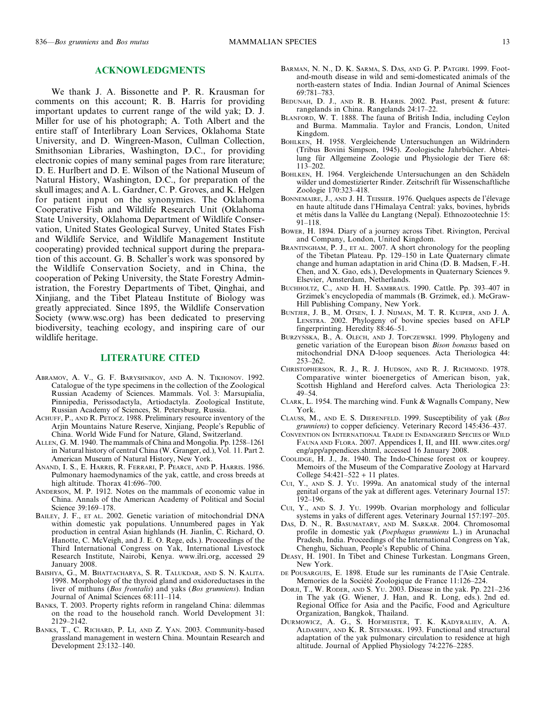#### ACKNOWLEDGMENTS

We thank J. A. Bissonette and P. R. Krausman for comments on this account; R. B. Harris for providing important updates to current range of the wild yak; D. J. Miller for use of his photograph; A. Toth Albert and the entire staff of Interlibrary Loan Services, Oklahoma State University, and D. Wingreen-Mason, Cullman Collection, Smithsonian Libraries, Washington, D.C., for providing electronic copies of many seminal pages from rare literature; D. E. Hurlbert and D. E. Wilson of the National Museum of Natural History, Washington, D.C., for preparation of the skull images; and A. L. Gardner, C. P. Groves, and K. Helgen for patient input on the synonymies. The Oklahoma Cooperative Fish and Wildlife Research Unit (Oklahoma State University, Oklahoma Department of Wildlife Conservation, United States Geological Survey, United States Fish and Wildlife Service, and Wildlife Management Institute cooperating) provided technical support during the preparation of this account. G. B. Schaller's work was sponsored by the Wildlife Conservation Society, and in China, the cooperation of Peking University, the State Forestry Administration, the Forestry Departments of Tibet, Qinghai, and Xinjiang, and the Tibet Plateau Institute of Biology was greatly appreciated. Since 1895, the Wildlife Conservation Society (www.wsc.org) has been dedicated to preserving biodiversity, teaching ecology, and inspiring care of our wildlife heritage.

# LITERATURE CITED

- ABRAMOV, A. V., G. F. BARYSHNIKOV, AND A. N. TIKHONOV. 1992. Catalogue of the type specimens in the collection of the Zoological Russian Academy of Sciences. Mammals. Vol. 3: Marsupialia, Pinnipedia, Perissodactyla, Artiodactyla. Zoological Institute, Russian Academy of Sciences, St. Petersburg, Russia.
- ACHUFF, P., AND R. PETOCZ. 1988. Preliminary resource inventory of the Arjin Mountains Nature Reserve, Xinjiang, People's Republic of China. World Wide Fund for Nature, Gland, Switzerland.
- ALLEN, G. M. 1940. The mammals of China and Mongolia. Pp. 1258–1261 in Natural history of central China (W. Granger, ed.), Vol. 11. Part 2. American Museum of Natural History, New York.
- ANAND, I. S., E. HARRIS, R. FERRARI, P. PEARCE, AND P. HARRIS. 1986. Pulmonary haemodynamics of the yak, cattle, and cross breeds at high altitude. Thorax 41:696–700.
- ANDERSON, M. P. 1912. Notes on the mammals of economic value in China. Annals of the American Academy of Political and Social Science 39:169–178.
- BAILEY, J. F., ET AL. 2002. Genetic variation of mitochondrial DNA within domestic yak populations. Unnumbered pages in Yak production in central Asian highlands (H. Jianlin, C. Richard, O. Hanotte, C. McVeigh, and J. E. O. Rege, eds.). Proceedings of the Third International Congress on Yak, International Livestock Research Institute, Nairobi, Kenya. www.ilri.org, accessed 29 January 2008.
- BAISHYA, G., M. BHATTACHARYA, S. R. TALUKDAR, AND S. N. KALITA. 1998. Morphology of the thyroid gland and oxidoreductases in the liver of mithuns (Bos frontalis) and yaks (Bos grunniens). Indian Journal of Animal Sciences 68:111–114.
- BANKS, T. 2003. Property rights reform in rangeland China: dilemmas on the road to the household ranch. World Development 31: 2129–2142.
- BANKS, T., C. RICHARD, P. LI, AND Z. YAN. 2003. Community-based grassland management in western China. Mountain Research and Development 23:132–140.
- BARMAN, N. N., D. K. SARMA, S. DAS, AND G. P. PATGIRI. 1999. Footand-mouth disease in wild and semi-domesticated animals of the north-eastern states of India. Indian Journal of Animal Sciences 69:781–783.
- BEDUNAH, D. J., AND R. B. HARRIS. 2002. Past, present & future: rangelands in China. Rangelands 24:17–22.
- BLANFORD, W. T. 1888. The fauna of British India, including Ceylon and Burma. Mammalia. Taylor and Francis, London, United Kingdom.
- BOHLKEN, H. 1958. Vergleichende Untersuchungen an Wildrindern (Tribus Bovini Simpson, 1945). Zoologische Jahrbücher. Abteilung für Allgemeine Zoologie und Physiologie der Tiere 68: 113–202.
- BOHLKEN, H. 1964. Vergleichende Untersuchungen an den Schädeln wilder und domestizierter Rinder. Zeitschrift für Wissenschaftliche Zoologie 170:323–418.
- BONNEMAIRE, J., AND J. H. TEISSIER. 1976. Quelques aspects de l'élevage en haute altitude dans l'Himalaya Central: yaks, bovines, hybrids et métis dans la Vallée du Langtang (Nepal). Ethnozootechnie 15: 91–118.
- BOWER, H. 1894. Diary of a journey across Tibet. Rivington, Percival and Company, London, United Kingdom.
- BRANTINGHAM, P. J., ET AL. 2007. A short chronology for the peopling of the Tibetan Plateau. Pp. 129–150 in Late Quaternary climate change and human adaptation in arid China (D. B. Madsen, F.-H. Chen, and X. Gao, eds.), Developments in Quaternary Sciences 9. Elsevier, Amsterdam, Netherlands.
- BUCHHOLTZ, C., AND H. H. SAMBRAUS. 1990. Cattle. Pp. 393–407 in Grzimek's encyclopedia of mammals (B. Grzimek, ed.). McGraw-Hill Publishing Company, New York.
- BUNTJER, J. B., M. OTSEN, I. J. NIJMAN, M. T. R. KUIPER, AND J. A. LENSTRA. 2002. Phylogeny of bovine species based on AFLP fingerprinting. Heredity 88:46–51.
- BURZYŃSKA, B., A. OLECH, AND J. TOPCZEWSKI. 1999. Phylogeny and genetic variation of the European bison Bison bonasus based on mitochondrial DNA D-loop sequences. Acta Theriologica 44: 253–262.
- CHRISTOPHERSON, R. J., R. J. HUDSON, AND R. J. RICHMOND. 1978. Comparative winter bioenergetics of American bison, yak, Scottish Highland and Hereford calves. Acta Theriologica 23: 49–54.
- CLARK, L. 1954. The marching wind. Funk & Wagnalls Company, New York.
- CLAUSS, M., AND E. S. DIERENFELD. 1999. Susceptibility of yak (Bos grunniens) to copper deficiency. Veterinary Record 145:436–437.
- CONVENTION ON INTERNATIONAL TRADE IN ENDANGERED SPECIES OF WILD FAUNA AND FLORA. 2007. Appendices I, II, and III. www.cites.org/ eng/app/appendices.shtml, accessed 16 January 2008.
- COOLIDGE, H. J., JR. 1940. The Indo-Chinese forest ox or kouprey. Memoirs of the Museum of the Comparative Zoology at Harvard College 54:421–522 + 11 plates.
- CUI, Y., AND S. J. YU. 1999a. An anatomical study of the internal genital organs of the yak at different ages. Veterinary Journal 157: 192–196.
- CUI, Y., AND S. J. YU. 1999b. Ovarian morphology and follicular systems in yaks of different ages. Veterinary Journal 157:197–205.
- DAS, D. N., R. BASUMATARY, AND M. SARKAR. 2004. Chromosomal profile in domestic yak (Poephagus grunniens L.) in Arunachal Pradesh, India. Proceedings of the International Congress on Yak, Chenghu, Sichuan, People's Republic of China.
- DEASY, H. 1901. In Tibet and Chinese Turkestan. Longmans Green, New York.
- DE POUSARGUES, E. 1898. Etude sur les ruminants de l'Asie Centrale. Memories de la Société Zoologique de France 11:126–224.
- DORJI, T., W. RODER, AND S. YU. 2003. Disease in the yak. Pp. 221–236 in The yak (G. Wiener, J. Han, and R. Long, eds.). 2nd ed. Regional Office for Asia and the Pacific, Food and Agriculture Organization, Bangkok, Thailand.
- DURMOWICZ, A. G., S. HOFMEISTER, T. K. KADYRALIEV, A. A. ALDASHEV, AND K. R. STENMARK. 1993. Functional and structural adaptation of the yak pulmonary circulation to residence at high altitude. Journal of Applied Physiology 74:2276–2285.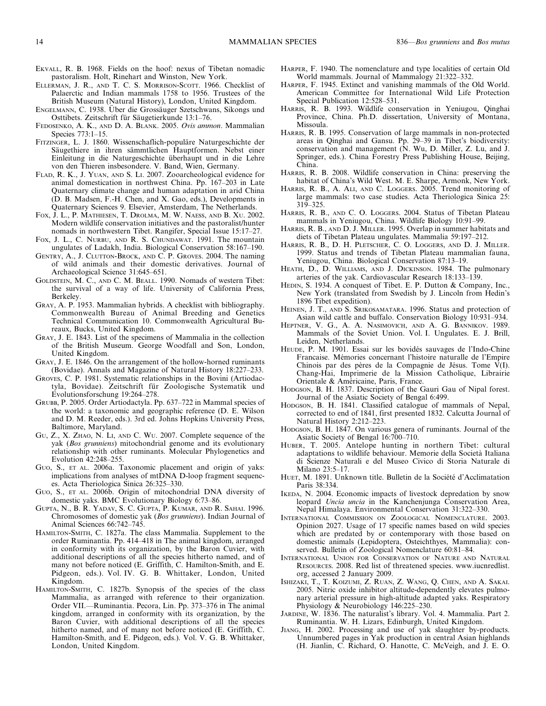- EKVALL, R. B. 1968. Fields on the hoof: nexus of Tibetan nomadic pastoralism. Holt, Rinehart and Winston, New York.
- ELLERMAN, J. R., AND T. C. S. MORRISON-SCOTT. 1966. Checklist of Palaerctic and Indian mammals 1758 to 1956. Trustees of the British Museum (Natural History), London, United Kingdom.
- ENGELMANN, C. 1938. Uber die Grossäuger Szetschwans, Sikongs und Osttibets. Zeitschrift für Säugetierkunde 13:1–76.
- FEDOSENKO, A. K., AND D. A. BLANK. 2005. Ovis ammon. Mammalian Species 773:1–15.
- FITZINGER, L. J. 1860. Wissenschaflich-populäre Naturgeschichte der Säugethiere in ihren sämmtlichen Hauptformen. Nebst einer Einleitung in die Naturgeschichte überhaupt und in die Lehre von den Thieren insbesondere. V. Band, Wien, Germany.
- FLAD, R. K., J. YUAN, AND S. LI. 2007. Zooarcheological evidence for animal domestication in northwest China. Pp. 167–203 in Late Quaternary climate change and human adaptation in arid China (D. B. Madsen, F.-H. Chen, and X. Gao, eds.), Developments in Quaternary Sciences 9. Elsevier, Amsterdam, The Netherlands.
- FOX, J. L., P. MATHIESEN, T. DROLMA, M. W. NAESS, AND B. XU. 2002. Modern wildlife conservation initiatives and the pastoralist/hunter nomads in northwestern Tibet. Rangifer, Special Issue 15:17–27.
- FOX, J. L., C. NURBU, AND R. S. CHUNDAWAT. 1991. The mountain ungulates of Ladakh, India. Biological Conservation 58:167–190.
- GENTRY, A., J. CLUTTON-BROCK, AND C. P. GROVES. 2004. The naming of wild animals and their domestic derivatives. Journal of Archaeological Science 31:645–651.
- GOLDSTEIN, M. C., AND C. M. BEALL. 1990. Nomads of western Tibet: the survival of a way of life. University of California Press, Berkeley.
- GRAY, A. P. 1953. Mammalian hybrids. A checklist with bibliography. Commonwealth Bureau of Animal Breeding and Genetics Technical Communication 10. Commonwealth Agricultural Bureaux, Bucks, United Kingdom.
- GRAY, J. E. 1843. List of the specimens of Mammalia in the collection of the British Museum. George Woodfall and Son, London, United Kingdom.
- GRAY, J. E. 1846. On the arrangement of the hollow-horned ruminants (Bovidae). Annals and Magazine of Natural History 18:227–233.
- GROVES, C. P. 1981. Systematic relationships in the Bovini (Artiodactyla, Bovidae). Zeitschrift für Zoologische Systematik und Evolutionsforschung 19:264–278.
- GRUBB, P. 2005. Order Artiodactyla. Pp. 637–722 in Mammal species of the world: a taxonomic and geographic reference (D. E. Wilson and D. M. Reeder, eds.). 3rd ed. Johns Hopkins University Press, Baltimore, Maryland.
- GU, Z., X. ZHAO, N. LI, AND C. WU. 2007. Complete sequence of the yak (Bos grunniens) mitochondrial genome and its evolutionary relationship with other ruminants. Molecular Phylogenetics and Evolution 42:248–255.
- GUO, S., ET AL. 2006a. Taxonomic placement and origin of yaks: implications from analyses of mtDNA D-loop fragment sequences. Acta Theriologica Sinica 26:325–330.
- GUO, S., ET AL. 2006b. Origin of mitochondrial DNA diversity of domestic yaks. BMC Evolutionary Biology 6:73–86.
- GUPTA, N., B. R. YADAV, S. C. GUPTA, P. KUMAR, AND R. SAHAI. 1996. Chromosomes of domestic yak (Bos grunniens). Indian Journal of Animal Sciences 66:742–745.
- HAMILTON-SMITH, C. 1827a. The class Mammalia. Supplement to the order Ruminantia. Pp. 414–418 in The animal kingdom, arranged in conformity with its organization, by the Baron Cuvier, with additional descriptions of all the species hitherto named, and of many not before noticed (E. Griffith, C. Hamilton-Smith, and E. Pidgeon, eds.). Vol. IV. G. B. Whittaker, London, United Kingdom.
- HAMILTON-SMITH, C. 1827b. Synopsis of the species of the class Mammalia, as arranged with reference to their organization. Order VII.—Ruminantia. Pecora, Lin. Pp. 373–376 in The animal kingdom, arranged in conformity with its organization, by the Baron Cuvier, with additional descriptions of all the species hitherto named, and of many not before noticed (E. Griffith, C. Hamilton-Smith, and E. Pidgeon, eds.). Vol. V. G. B. Whittaker, London, United Kingdom.
- HARPER, F. 1940. The nomenclature and type localities of certain Old World mammals. Journal of Mammalogy 21:322–332.
- HARPER, F. 1945. Extinct and vanishing mammals of the Old World. American Committee for International Wild Life Protection Special Publication 12:528–531.
- HARRIS, R. B. 1993. Wildlife conservation in Yeniugou, Qinghai Province, China. Ph.D. dissertation, University of Montana, Missoula.
- HARRIS, R. B. 1995. Conservation of large mammals in non-protected areas in Qinghai and Gansu. Pp. 29–39 in Tibet's biodiversity: conservation and management (N. Wu, D. Miller, Z. Lu, and J. Springer, eds.). China Forestry Press Publishing House, Beijing, China.
- HARRIS, R. B. 2008. Wildlife conservation in China: preserving the habitat of China's Wild West. M. E. Sharpe, Armonk, New York.
- HARRIS, R. B., A. ALI, AND C. LOGGERS. 2005. Trend monitoring of large mammals: two case studies. Acta Theriologica Sinica 25: 319–325.
- HARRIS, R. B., AND C. O. LOGGERS. 2004. Status of Tibetan Plateau mammals in Yeniugou, China. Wildlife Biology 10:91–99.
- HARRIS, R. B., AND D. J. MILLER. 1995. Overlap in summer habitats and diets of Tibetan Plateau ungulates. Mammalia 59:197–212.
- HARRIS, R. B., D. H. PLETSCHER, C. O. LOGGERS, AND D. J. MILLER. 1999. Status and trends of Tibetan Plateau mammalian fauna, Yeniugou, China. Biological Conservation 87:13–19.
- HEATH, D., D. WILLIAMS, AND J. DICKINSON. 1984. The pulmonary arteries of the yak. Cardiovascular Research 18:133–139.
- HEDIN, S. 1934. A conquest of Tibet. E. P. Dutton & Company, Inc., New York (translated from Swedish by J. Lincoln from Hedin's 1896 Tibet expedition).
- HEINEN, J. T., AND S. SRIKOSAMATARA. 1996. Status and protection of Asian wild cattle and buffalo. Conservation Biology 10:931–934.
- HEPTNER, V. G., A. A. NASIMOVICH, AND A. G. BANNIKOV. 1989. Mammals of the Soviet Union. Vol. I. Ungulates. E. J. Brill, Leiden, Netherlands.
- HEUDE, P. M. 1901. Essai sur les bovidés sauvages de l'Indo-Chine Francaise. Mémories concernant l'histoire naturalle de l'Empire Chinois par des pères de la Compagnie de Jésus. Tome  $\bar{V}(I)$ . Chang-Hai, Imprimerie de la Mission Catholique, Librairie Orientale & Américaine, Paris, France.
- HODGSON, B. H. 1837. Description of the Gauri Gau of Nipal forest. Journal of the Asiatic Society of Bengal 6:499.
- HODGSON, B. H. 1841. Classified catalogue of mammals of Nepal, corrected to end of 1841, first presented 1832. Calcutta Journal of Natural History 2:212-223.
- HODGSON, B. H. 1847. On various genera of ruminants. Journal of the Asiatic Society of Bengal 16:700–710.
- HUBER, T. 2005. Antelope hunting in northern Tibet: cultural adaptations to wildlife behaviour. Memorie della Societa` Italiana di Scienze Naturali e del Museo Civico di Storia Naturale di Milano 23:5–17.
- HUET, M. 1891. Unknown title. Bulletin de la Société d'Acclimatation Paris 38:334.
- IKEDA, N. 2004. Economic impacts of livestock depredation by snow leopard Uncia uncia in the Kanchenjunga Conservation Area, Nepal Himalaya. Environmental Conservation 31:322–330.
- INTERNATIONAL COMMISSION ON ZOOLOGICAL NOMENCLATURE. 2003. Opinion 2027. Usage of 17 specific names based on wild species which are predated by or contemporary with those based on domestic animals (Lepidoptera, Osteichthyes, Mammalia): conserved. Bulletin of Zoological Nomenclature 60:81–84.
- INTERNATIONAL UNION FOR CONSERVATION OF NATURE AND NATURAL RESOURCES. 2008. Red list of threatened species. www.iucnredlist. org, accessed 2 January 2009.
- ISHIZAKI, T., T. KOIZUMI, Z. RUAN, Z. WANG, Q. CHEN, AND A. SAKAI. 2005. Nitric oxide inhibitor altitude-dependently elevates pulmonary arterial pressure in high-altitude adapted yaks. Respiratory Physiology & Neurobiology 146:225–230.
- JARDINE, W. 1836. The naturalist's library. Vol. 4. Mammalia. Part 2. Ruminantia. W. H. Lizars, Edinburgh, United Kingdom.
- JIANG, H. 2002. Processing and use of yak slaughter by-products. Unnumbered pages in Yak production in central Asian highlands (H. Jianlin, C. Richard, O. Hanotte, C. McVeigh, and J. E. O.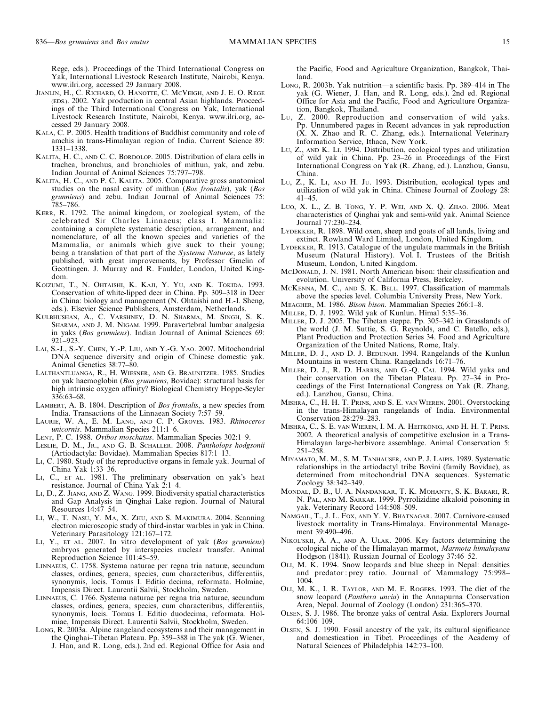Rege, eds.). Proceedings of the Third International Congress on Yak, International Livestock Research Institute, Nairobi, Kenya. www.ilri.org, accessed 29 January 2008.

- JIANLIN, H., C. RICHARD, O. HANOTTE, C. MCVEIGH, AND J. E. O. REGE (EDS.). 2002. Yak production in central Asian highlands. Proceedings of the Third International Congress on Yak, International Livestock Research Institute, Nairobi, Kenya. www.ilri.org, accessed 29 January 2008.
- KALA, C. P. 2005. Health traditions of Buddhist community and role of amchis in trans-Himalayan region of India. Current Science 89: 1331–1338.
- KALITA, H. C., AND C. C. BORDOLOP. 2005. Distribution of clara cells in trachea, bronchus, and bronchioles of mithun, yak, and zebu. Indian Journal of Animal Sciences 75:797–798.
- KALITA, H. C., AND P. C. KALITA. 2005. Comparative gross anatomical studies on the nasal cavity of mithun (Bos frontalis), yak (Bos grunniens) and zebu. Indian Journal of Animal Sciences 75: 785–786.
- KERR, R. 1792. The animal kingdom, or zoological system, of the celebrated Sir Charles Linnaeus; class I. Mammalia: containing a complete systematic description, arrangement, and nomenclature, of all the known species and varieties of the Mammalia, or animals which give suck to their young; being a translation of that part of the Systema Naturae, as lately published, with great improvements, by Professor Gmelin of Geottingen. J. Murray and R. Faulder, London, United Kingdom.
- KOIZUMI, T., N. OHTAISHI, K. KAJI, Y. YU, AND K. TOKIDA. 1993. Conservation of white-lipped deer in China. Pp. 309–318 in Deer in China: biology and management (N. Ohtaishi and H.-I. Sheng, eds.). Elsevier Science Publishers, Amsterdam, Netherlands.
- KULBHUSHAN, A., C. VARSHNEY, D. N. SHARMA, M. SINGH, S. K. SHARMA, AND J. M. NIGAM. 1999. Paravertebral lumbar analgesia in yaks (Bos grunniens). Indian Journal of Animal Sciences 69: 921–923.
- LAI, S.-J., S.-Y. CHEN, Y.-P. LIU, AND Y.-G. YAO. 2007. Mitochondrial DNA sequence diversity and origin of Chinese domestic yak. Animal Genetics 38:77–80.
- LALTHANTLUANGA, R., H. WIESNER, AND G. BRAUNITZER. 1985. Studies on yak haemoglobin (Bos grunniens, Bovidae): structural basis for high intrinsic oxygen affinity? Biological Chemistry Hoppe-Seyler 336:63–68.
- LAMBERT, A. B. 1804. Description of Bos frontalis, a new species from India. Transactions of the Linnaean Society 7:57–59.
- LAURIE, W. A., E. M. LANG, AND C. P. GROVES. 1983. Rhinoceros unicornis. Mammalian Species 211:1–6.
- LENT, P. C. 1988. Ovibos moschatus. Mammalian Species 302:1–9.
- LESLIE, D. M., JR., AND G. B. SCHALLER. 2008. Pantholops hodgsonii (Artiodactyla: Bovidae). Mammalian Species 817:1–13.
- LI, C. 1980. Study of the reproductive organs in female yak. Journal of China Yak 1:33–36.
- LI, C., ET AL. 1981. The preliminary observation on yak's heat resistance. Journal of China Yak 2:1–4.
- LI, D., Z. JIANG, AND Z. WANG. 1999. Biodiversity spatial characteristics and Gap Analysis in Qinghai Lake region. Journal of Natural Resources 14:47–54.
- LI, W., T. NASU, Y. MA, X. ZHU, AND S. MAKIMURA. 2004. Scanning electron microscopic study of third-instar warbles in yak in China. Veterinary Parasitology 121:167–172.
- LI, Y., ET AL. 2007. In vitro development of yak (Bos grunniens) embryos generated by interspecies nuclear transfer. Animal Reproduction Science 101:45–59.
- LINNAEUS, C. 1758. Systema naturae per regna tria naturæ, secundum classes, ordines, genera, species, cum characteribus, differentiis, synonymis, locis. Tomus I. Editio decima, reformata. Holmiae, Impensis Direct. Laurentii Salvii, Stockholm, Sweden.
- LINNAEUS, C. 1766. Systema naturae per regna tria naturae, secundum classes, ordines, genera, species, cum characteribus, differentiis, synonymis, locis. Tomus I. Editio duodecima, reformata. Holmiae, Impensis Direct. Laurentii Salvii, Stockholm, Sweden.
- LONG, R. 2003a. Alpine rangeland ecosystems and their management in the Qinghai–Tibetan Plateau. Pp. 359–388 in The yak (G. Wiener, J. Han, and R. Long, eds.). 2nd ed. Regional Office for Asia and

the Pacific, Food and Agriculture Organization, Bangkok, Thailand.

- LONG, R. 2003b. Yak nutrition—a scientific basis. Pp. 389–414 in The yak (G. Wiener, J. Han, and R. Long, eds.). 2nd ed. Regional Office for Asia and the Pacific, Food and Agriculture Organization, Bangkok, Thailand.
- LU, Z. 2000. Reproduction and conservation of wild yaks. Pp. Unnumbered pages in Recent advances in yak reproduction (X. X. Zhao and R. C. Zhang, eds.). International Veterinary Information Service, Ithaca, New York.
- LU, Z., AND K. LI. 1994. Distribution, ecological types and utilization of wild yak in China. Pp. 23–26 in Proceedings of the First International Congress on Yak (R. Zhang, ed.). Lanzhou, Gansu, China.
- LU, Z., K. LI, AND H. JU. 1993. Distribution, ecological types and utilization of wild yak in China. Chinese Journal of Zoology 28: 41–45.
- LUO, X. L., Z. B. TONG, Y. P. WEI, AND X. Q. ZHAO. 2006. Meat characteristics of Qinghai yak and semi-wild yak. Animal Science Journal 77:230–234.
- LYDEKKER, R. 1898. Wild oxen, sheep and goats of all lands, living and extinct. Rowland Ward Limited, London, United Kingdom.
- LYDEKKER, R. 1913. Catalogue of the ungulate mammals in the British Museum (Natural History). Vol. I. Trustees of the British Museum, London, United Kingdom.
- MCDONALD, J. N. 1981. North American bison: their classification and evolution. University of California Press, Berkeley.
- MCKENNA, M. C., AND S. K. BELL. 1997. Classification of mammals above the species level. Columbia University Press, New York.
- MEAGHER, M. 1986. Bison bison. Mammalian Species 266:1–8.
- MILLER, D. J. 1992. Wild yak of Kunlun. Himal 5:35–36.
- MILLER, D. J. 2005. The Tibetan steppe. Pp. 305–342 in Grasslands of the world (J. M. Suttie, S. G. Reynolds, and C. Batello, eds.), Plant Production and Protection Series 34. Food and Agriculture Organization of the United Nations, Rome, Italy.
- MILLER, D. J., AND D. J. BEDUNAH. 1994. Rangelands of the Kunlun Mountains in western China. Rangelands 16:71–76.
- MILLER, D. J., R. D. HARRIS, AND G.-Q. CAI. 1994. Wild yaks and their conservation on the Tibetan Plateau. Pp. 27–34 in Proceedings of the First International Congress on Yak (R. Zhang, ed.). Lanzhou, Gansu, China.
- MISHRA, C., H. H. T. PRINS, AND S. E. VAN WIEREN. 2001. Overstocking in the trans-Himalayan rangelands of India. Environmental Conservation 28:279–283.
- MISHRA, C., S. E. VAN WIEREN, I. M. A. HEITKÖNIG, AND H. H. T. PRINS. 2002. A theoretical analysis of competitive exclusion in a Trans-Himalayan large-herbivore assemblage. Animal Conservation 5: 251–258.
- MIYAMATO, M. M., S. M. TANHAUSER, AND P. J. LAIPIS. 1989. Systematic relationships in the artiodactyl tribe Bovini (family Bovidae), as determined from mitochondrial DNA sequences. Systematic Zoology 38:342–349.
- MONDAL, D. B., U. A. NANDANKAR, T. K. MOHANTY, S. K. BARARI, R. N. PAL, AND M. SARKAR. 1999. Pyrrolizidine alkaloid poisoning in yak. Veterinary Record 144:508–509.
- NAMGAIL, T., J. L. FOX, AND Y. V. BHATNAGAR. 2007. Carnivore-caused livestock mortality in Trans-Himalaya. Environmental Management 39:490–496.
- NIKOL'SKII, A. A., AND A. ULAK. 2006. Key factors determining the ecological niche of the Himalayan marmot, Marmota himalayana Hodgson (1841). Russian Journal of Ecology 37:46–52.
- OLI, M. K. 1994. Snow leopards and blue sheep in Nepal: densities and predator : prey ratio. Journal of Mammalogy 75:998– 1004.
- OLI, M. K., I. R. TAYLOR, AND M. E. ROGERS. 1993. The diet of the snow leopard (Panthera uncia) in the Annapurna Conservation Area, Nepal. Journal of Zoology (London) 231:365–370.
- OLSEN, S. J. 1986. The bronze yaks of central Asia. Explorers Journal 64:106–109.
- OLSEN, S. J. 1990. Fossil ancestry of the yak, its cultural significance and domestication in Tibet. Proceedings of the Academy of Natural Sciences of Philadelphia 142:73–100.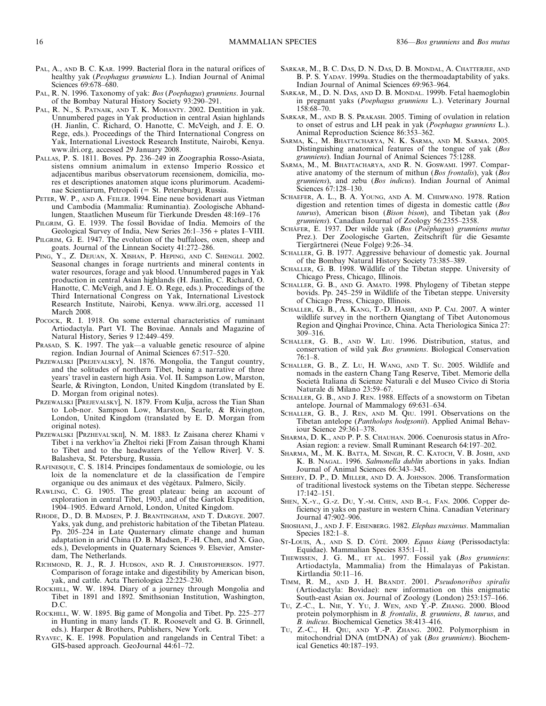- PAL, A., AND B. C. KAR. 1999. Bacterial flora in the natural orifices of healthy yak (Peophagus grunniens L.). Indian Journal of Animal Sciences 69:678–680.
- PAL, R. N. 1996. Taxonomy of yak: Bos (Poephagus) grunniens. Journal of the Bombay Natural History Society 93:290–291.
- PAL, R. N., S. PATNAIK, AND T. K. MOHANTY. 2002. Dentition in yak. Unnumbered pages in Yak production in central Asian highlands (H. Jianlin, C. Richard, O. Hanotte, C. McVeigh, and J. E. O. Rege, eds.). Proceedings of the Third International Congress on Yak, International Livestock Research Institute, Nairobi, Kenya. www.ilri.org, accessed 29 January 2008.
- PALLAS, P. S. 1811. Boves. Pp. 236–249 in Zoographia Rosso-Asiata, sistens omnium animalum in extenso Imperio Rossico et adjacentibus maribus observatorum recensionem, domicilia, mores et descriptiones anatomen atque icons plurimorum. Academinae Scientiarum, Petropoli (= St. Petersburg), Russia.
- PETER, W. P., AND A. FEILER. 1994. Eine neue bovidenart aus Vietman und Cambodia (Mammalia: Ruminantia). Zoologische Abhandlungen, Staatlichen Museum für Tierkunde Dresden 48:169-176
- PILGRIM, G. E. 1939. The fossil Bovidae of India. Memoirs of the Geological Survey of India, New Series 26:1–356 + plates I–VIII.
- PILGRIM, G. E. 1947. The evolution of the buffaloes, oxen, sheep and goats. Journal of the Linnean Society 41:272–286.
- PING, Y., Z. DEJUAN, X. XISHAN, P. HEPING, AND C. SHENGLI. 2002. Seasonal changes in forage nurtrients and mineral contents in water resources, forage and yak blood. Unnumbered pages in Yak production in central Asian highlands (H. Jianlin, C. Richard, O. Hanotte, C. McVeigh, and J. E. O. Rege, eds.). Proceedings of the Third International Congress on Yak, International Livestock Research Institute, Nairobi, Kenya. www.ilri.org, accessed 11 March 2008.
- POCOCK, R. I. 1918. On some external characteristics of ruminant Artiodactyla. Part VI. The Bovinae. Annals and Magazine of Natural History, Series 9 12:449–459.
- PRASAD, S. K. 1997. The yak—a valuable genetic resource of alpine region. Indian Journal of Animal Sciences 67:517–520.
- PRZEWALSKI [PREJEVALSKY], N. 1876. Mongolia, the Tangut country, and the solitudes of northern Tibet, being a narrative of three years' travel in eastern high Asia. Vol. II. Sampson Low, Marston, Searle, & Rivington, London, United Kingdom (translated by E. D. Morgan from original notes).
- PRZEWALSKI [PREJEVALSKY], N. 1879. From Kulja, across the Tian Shan to Lob-nor. Sampson Low, Marston, Searle, & Rivington, London, United Kingdom (translated by E. D. Morgan from original notes).
- PRZEWALSKI [PRZHEVAL'SKII], N. M. 1883. Iz Zaisana cherez Khami v Tibet i na verkhov'ia Zheltoi rieki [From Zaisan through Khami to Tibet and to the headwaters of the Yellow River]. V. S. Balasheva, St. Petersburg, Russia.
- RAFINESQUE, C. S. 1814. Principes fondamentaux de somiologie, ou les loix de la nomenclature et de la classification de l'empire organique ou des animaux et des végétaux. Palmero, Sicily.
- RAWLING, C. G. 1905. The great plateau: being an account of exploration in central Tibet, 1903, and of the Gartok Expedition, 1904–1905. Edward Arnold, London, United Kingdom.
- RHODE, D., D. B. MADSEN, P. J. BRANTINGHAM, AND T. DARGYE. 2007. Yaks, yak dung, and prehistoric habitation of the Tibetan Plateau. Pp. 205–224 in Late Quaternary climate change and human adaptation in arid China (D. B. Madsen, F.-H. Chen, and X. Gao, eds.), Developments in Quaternary Sciences 9. Elsevier, Amsterdam, The Netherlands.
- RICHMOND, R. J., R. J. HUDSON, AND R. J. CHRISTOPHERSON. 1977. Comparison of forage intake and digestibility by American bison, yak, and cattle. Acta Theriologica 22:225–230.
- ROCKHILL, W. W. 1894. Diary of a journey through Mongolia and Tibet in 1891 and 1892. Smithsonian Institution, Washington, D.C.
- ROCKHILL, W. W. 1895. Big game of Mongolia and Tibet. Pp. 225–277 in Hunting in many lands (T. R. Roosevelt and G. B. Grinnell, eds.). Harper & Brothers, Publishers, New York.
- RYAVEC, K. E. 1998. Population and rangelands in Central Tibet: a GIS-based approach. GeoJournal 44:61–72.
- SARKAR, M., B. C. DAS, D. N. DAS, D. B. MONDAL, A. CHATTERJEE, AND B. P. S. YADAV. 1999a. Studies on the thermoadaptability of yaks. Indian Journal of Animal Sciences 69:963–964.
- SARKAR, M., D. N. DAS, AND D. B. MONDAL. 1999b. Fetal haemoglobin in pregnant yaks (Poephagus grunniens L.). Veterinary Journal 158:68–70.
- SARKAR, M., AND B. S. PRAKASH. 2005. Timing of ovulation in relation to onset of estrus and LH peak in yak (Poephagus grunniens L.). Animal Reproduction Science 86:353–362.
- SARMA, K., M. BHATTACHARYA, N. K. SARMA, AND M. SARMA. 2005. Distinguishing anatomical features of the tongue of yak (Bos grunniens). Indian Journal of Animal Sciences 75:1288.
- SARMA, M., M. BHATTACHARYA, AND R. N. GOSWAMI. 1997. Comparative anatomy of the sternum of mithun (Bos frontalis), yak (Bos grunniens), and zebu (Bos indicus). Indian Journal of Animal Sciences 67:128–130.
- SCHAEFER, A. L., B. A. YOUNG, AND A. M. CHIMWANO. 1978. Ration digestion and retention times of digesta in domestic cattle (Bos taurus), American bison (Bison bison), and Tibetan yak (Bos grunniens). Canadian Journal of Zoology 56:2355–2358.
- SCHÄFER, E. 1937. Der wilde yak (Bos (Poëphagus) grunniens mutus Prez.). Der Zoologische Garten, Zeitschrift für die Gesamte Tiergärtnerei (Neue Folge) 9:26–34.
- SCHALLER, G. B. 1977. Aggressive behaviour of domestic yak. Journal of the Bombay Natural History Society 73:385–389.
- SCHALLER, G. B. 1998. Wildlife of the Tibetan steppe. University of Chicago Press, Chicago, Illinois.
- SCHALLER, G. B., AND G. AMATO. 1998. Phylogeny of Tibetan steppe bovids. Pp. 245–259 in Wildlife of the Tibetan steppe. University of Chicago Press, Chicago, Illinois.
- SCHALLER, G. B., A. KANG, T.-D. HASHI, AND P. CAI. 2007. A winter wildlife survey in the northern Qiangtang of Tibet Autonomous Region and Qinghai Province, China. Acta Theriologica Sinica 27: 309–316.
- SCHALLER, G. B., AND W. LIU. 1996. Distribution, status, and conservation of wild yak Bos grunniens. Biological Conservation 76:1–8.
- SCHALLER, G. B., Z. LU, H. WANG, AND T. SU. 2005. Wildlife and nomads in the eastern Chang Tang Reserve, Tibet. Memorie della Societa` Italiana di Scienze Naturali e del Museo Civico di Storia Naturale di Milano 23:59–67.
- SCHALLER, G. B., AND J. REN. 1988. Effects of a snowstorm on Tibetan antelope. Journal of Mammalogy 69:631–634.
- SCHALLER, G. B., J. REN, AND M. QIU. 1991. Observations on the Tibetan antelope (Pantholops hodgsonii). Applied Animal Behaviour Science 29:361–378.
- SHARMA, D. K., AND P. P. S. CHAUHAN. 2006. Coenurosis status in Afro-Asian region: a review. Small Ruminant Research 64:197–202.
- SHARMA, M., M. K. BATTA, M. SINGH, R. C. KATOCH, V. B. JOSHI, AND K. B. NAGAL. 1996. Salmonella dublin abortions in yaks. Indian Journal of Animal Sciences 66:343–345.
- SHEEHY, D. P., D. MILLER, AND D. A. JOHNSON. 2006. Transformation of traditional livestock systems on the Tibetan steppe. Sécheresse 17:142–151.
- SHEN, X.-Y., G.-Z. DU, Y.-M. CHEN, AND B.-L. FAN. 2006. Copper deficiency in yaks on pasture in western China. Canadian Veterinary Journal 47:902–906.
- SHOSHANI, J., AND J. F. EISENBERG. 1982. Elephas maximus. Mammalian Species 182:1–8.
- ST-Louis, A., AND S. D. Côré. 2009. Equus kiang (Perissodactyla: Equidae). Mammalian Species 835:1–11.
- THEWISSEN, J. G. M., ET AL. 1997. Fossil yak (Bos grunniens: Artiodactyla, Mammalia) from the Himalayas of Pakistan. Kirtlandia 50:11–16.
- TIMM, R. M., AND J. H. BRANDT. 2001. Pseudonovibos spiralis (Artiodactyla: Bovidae): new information on this enigmatic South-east Asian ox. Journal of Zoology (London) 253:157–166.
- TU, Z.-C., L. NIE, Y. YU, J. WEN, AND Y.-P. ZHANG. 2000. Blood protein polymorphism in B. frontalis, B. grunniens, B. taurus, and B. indicus. Biochemical Genetics 38:413–416.
- TU, Z.-C., H. QIU, AND Y.-P. ZHANG. 2002. Polymorphism in mitochondrial DNA (mtDNA) of yak (Bos grunniens). Biochemical Genetics 40:187–193.